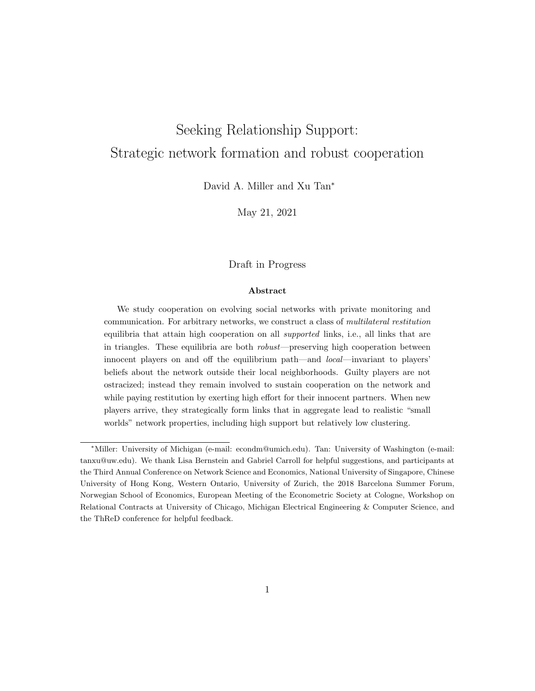# <span id="page-0-0"></span>Seeking Relationship Support: Strategic network formation and robust cooperation

David A. Miller and Xu Tan<sup>∗</sup>

May 21, 2021

## Draft in Progress

#### Abstract

We study cooperation on evolving social networks with private monitoring and communication. For arbitrary networks, we construct a class of multilateral restitution equilibria that attain high cooperation on all supported links, i.e., all links that are in triangles. These equilibria are both robust—preserving high cooperation between innocent players on and off the equilibrium path—and local—invariant to players' beliefs about the network outside their local neighborhoods. Guilty players are not ostracized; instead they remain involved to sustain cooperation on the network and while paying restitution by exerting high effort for their innocent partners. When new players arrive, they strategically form links that in aggregate lead to realistic "small worlds" network properties, including high support but relatively low clustering.

<sup>∗</sup>Miller: University of Michigan (e-mail: econdm@umich.edu). Tan: University of Washington (e-mail: tanxu@uw.edu). We thank Lisa Bernstein and Gabriel Carroll for helpful suggestions, and participants at the Third Annual Conference on Network Science and Economics, National University of Singapore, Chinese University of Hong Kong, Western Ontario, University of Zurich, the 2018 Barcelona Summer Forum, Norwegian School of Economics, European Meeting of the Econometric Society at Cologne, Workshop on Relational Contracts at University of Chicago, Michigan Electrical Engineering & Computer Science, and the ThReD conference for helpful feedback.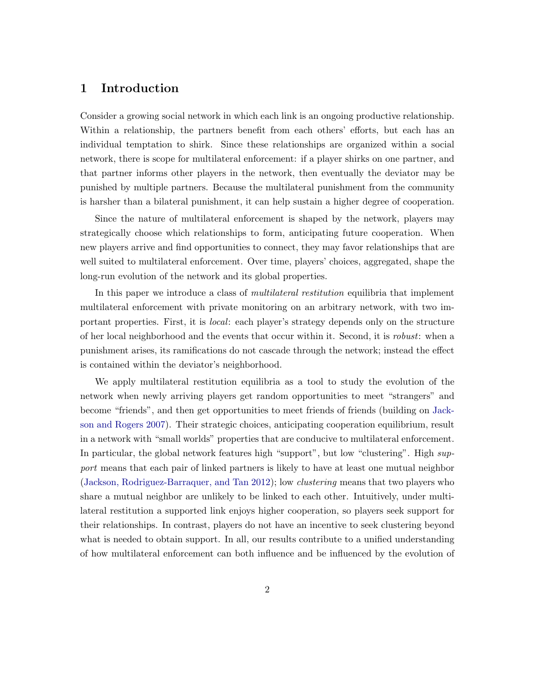# 1 Introduction

Consider a growing social network in which each link is an ongoing productive relationship. Within a relationship, the partners benefit from each others' efforts, but each has an individual temptation to shirk. Since these relationships are organized within a social network, there is scope for multilateral enforcement: if a player shirks on one partner, and that partner informs other players in the network, then eventually the deviator may be punished by multiple partners. Because the multilateral punishment from the community is harsher than a bilateral punishment, it can help sustain a higher degree of cooperation.

Since the nature of multilateral enforcement is shaped by the network, players may strategically choose which relationships to form, anticipating future cooperation. When new players arrive and find opportunities to connect, they may favor relationships that are well suited to multilateral enforcement. Over time, players' choices, aggregated, shape the long-run evolution of the network and its global properties.

In this paper we introduce a class of *multilateral restitution* equilibria that implement multilateral enforcement with private monitoring on an arbitrary network, with two important properties. First, it is local: each player's strategy depends only on the structure of her local neighborhood and the events that occur within it. Second, it is robust: when a punishment arises, its ramifications do not cascade through the network; instead the effect is contained within the deviator's neighborhood.

We apply multilateral restitution equilibria as a tool to study the evolution of the network when newly arriving players get random opportunities to meet "strangers" and become "friends", and then get opportunities to meet friends of friends (building on [Jack](#page-27-0)[son and Rogers](#page-27-0) [2007\)](#page-27-0). Their strategic choices, anticipating cooperation equilibrium, result in a network with "small worlds" properties that are conducive to multilateral enforcement. In particular, the global network features high "support", but low "clustering". High support means that each pair of linked partners is likely to have at least one mutual neighbor [\(Jackson, Rodriguez-Barraquer, and Tan](#page-27-1) [2012\)](#page-27-1); low clustering means that two players who share a mutual neighbor are unlikely to be linked to each other. Intuitively, under multilateral restitution a supported link enjoys higher cooperation, so players seek support for their relationships. In contrast, players do not have an incentive to seek clustering beyond what is needed to obtain support. In all, our results contribute to a unified understanding of how multilateral enforcement can both influence and be influenced by the evolution of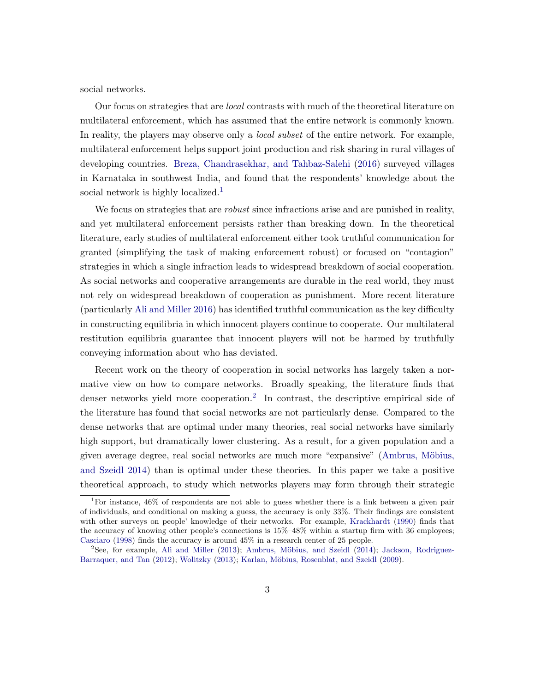social networks.

Our focus on strategies that are local contrasts with much of the theoretical literature on multilateral enforcement, which has assumed that the entire network is commonly known. In reality, the players may observe only a *local subset* of the entire network. For example, multilateral enforcement helps support joint production and risk sharing in rural villages of developing countries. [Breza, Chandrasekhar, and Tahbaz-Salehi](#page-26-0) [\(2016\)](#page-26-0) surveyed villages in Karnataka in southwest India, and found that the respondents' knowledge about the social network is highly localized.<sup>[1](#page-0-0)</sup>

We focus on strategies that are *robust* since infractions arise and are punished in reality, and yet multilateral enforcement persists rather than breaking down. In the theoretical literature, early studies of multilateral enforcement either took truthful communication for granted (simplifying the task of making enforcement robust) or focused on "contagion" strategies in which a single infraction leads to widespread breakdown of social cooperation. As social networks and cooperative arrangements are durable in the real world, they must not rely on widespread breakdown of cooperation as punishment. More recent literature (particularly [Ali and Miller](#page-26-1) [2016\)](#page-26-1) has identified truthful communication as the key difficulty in constructing equilibria in which innocent players continue to cooperate. Our multilateral restitution equilibria guarantee that innocent players will not be harmed by truthfully conveying information about who has deviated.

Recent work on the theory of cooperation in social networks has largely taken a normative view on how to compare networks. Broadly speaking, the literature finds that denser networks yield more cooperation.<sup>[2](#page-0-0)</sup> In contrast, the descriptive empirical side of the literature has found that social networks are not particularly dense. Compared to the dense networks that are optimal under many theories, real social networks have similarly high support, but dramatically lower clustering. As a result, for a given population and a given average degree, real social networks are much more "expansive" [\(Ambrus, M¨obius,](#page-26-2) [and Szeidl](#page-26-2) [2014\)](#page-26-2) than is optimal under these theories. In this paper we take a positive theoretical approach, to study which networks players may form through their strategic

<sup>&</sup>lt;sup>1</sup>For instance, 46% of respondents are not able to guess whether there is a link between a given pair of individuals, and conditional on making a guess, the accuracy is only 33%. Their findings are consistent with other surveys on people' knowledge of their networks. For example, [Krackhardt](#page-27-2) [\(1990\)](#page-27-2) finds that the accuracy of knowing other people's connections is 15%–48% within a startup firm with 36 employees; [Casciaro](#page-27-3) [\(1998\)](#page-27-3) finds the accuracy is around 45% in a research center of 25 people.

 $2$ See, for example, [Ali and Miller](#page-26-3) [\(2013\)](#page-26-3); Ambrus, Möbius, and Szeidl [\(2014\)](#page-26-2); [Jackson, Rodriguez-](#page-27-1)[Barraquer, and Tan](#page-27-1) [\(2012\)](#page-27-1); [Wolitzky](#page-27-4) [\(2013\)](#page-27-4); Karlan, Möbius, Rosenblat, and Szeidl [\(2009\)](#page-27-5).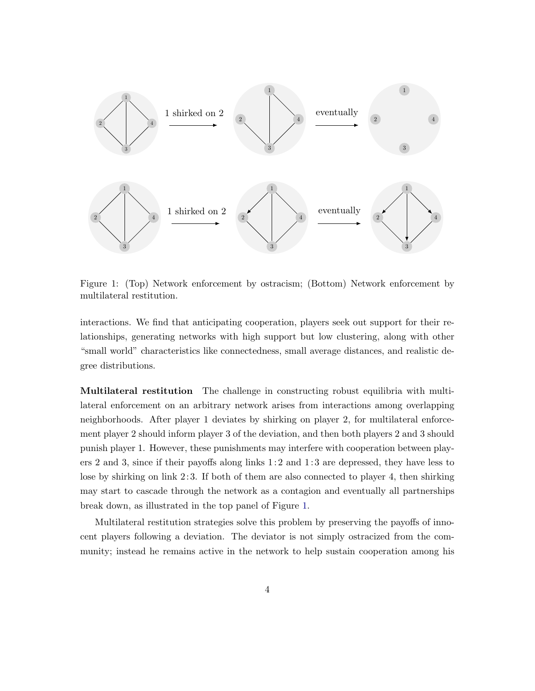

<span id="page-3-0"></span>Figure 1: (Top) Network enforcement by ostracism; (Bottom) Network enforcement by multilateral restitution.

interactions. We find that anticipating cooperation, players seek out support for their relationships, generating networks with high support but low clustering, along with other "small world" characteristics like connectedness, small average distances, and realistic degree distributions.

Multilateral restitution The challenge in constructing robust equilibria with multilateral enforcement on an arbitrary network arises from interactions among overlapping neighborhoods. After player 1 deviates by shirking on player 2, for multilateral enforcement player 2 should inform player 3 of the deviation, and then both players 2 and 3 should punish player 1. However, these punishments may interfere with cooperation between players 2 and 3, since if their payoffs along links  $1:2$  and  $1:3$  are depressed, they have less to lose by shirking on link 2: 3. If both of them are also connected to player 4, then shirking may start to cascade through the network as a contagion and eventually all partnerships break down, as illustrated in the top panel of Figure [1.](#page-3-0)

Multilateral restitution strategies solve this problem by preserving the payoffs of innocent players following a deviation. The deviator is not simply ostracized from the community; instead he remains active in the network to help sustain cooperation among his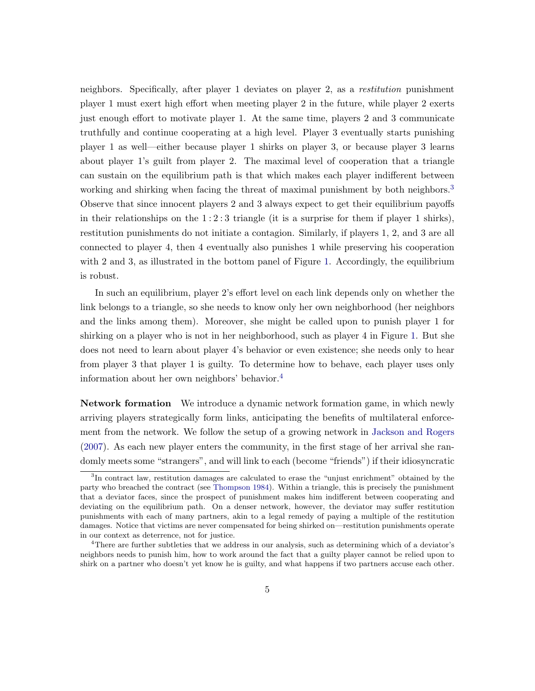neighbors. Specifically, after player 1 deviates on player 2, as a restitution punishment player 1 must exert high effort when meeting player 2 in the future, while player 2 exerts just enough effort to motivate player 1. At the same time, players 2 and 3 communicate truthfully and continue cooperating at a high level. Player 3 eventually starts punishing player 1 as well—either because player 1 shirks on player 3, or because player 3 learns about player 1's guilt from player 2. The maximal level of cooperation that a triangle can sustain on the equilibrium path is that which makes each player indifferent between working and shirking when facing the threat of maximal punishment by both neighbors.<sup>[3](#page-0-0)</sup> Observe that since innocent players 2 and 3 always expect to get their equilibrium payoffs in their relationships on the  $1:2:3$  triangle (it is a surprise for them if player 1 shirks), restitution punishments do not initiate a contagion. Similarly, if players 1, 2, and 3 are all connected to player 4, then 4 eventually also punishes 1 while preserving his cooperation with 2 and 3, as illustrated in the bottom panel of Figure [1.](#page-3-0) Accordingly, the equilibrium is robust.

In such an equilibrium, player 2's effort level on each link depends only on whether the link belongs to a triangle, so she needs to know only her own neighborhood (her neighbors and the links among them). Moreover, she might be called upon to punish player 1 for shirking on a player who is not in her neighborhood, such as player 4 in Figure [1.](#page-3-0) But she does not need to learn about player 4's behavior or even existence; she needs only to hear from player 3 that player 1 is guilty. To determine how to behave, each player uses only information about her own neighbors' behavior.[4](#page-0-0)

Network formation We introduce a dynamic network formation game, in which newly arriving players strategically form links, anticipating the benefits of multilateral enforcement from the network. We follow the setup of a growing network in [Jackson and Rogers](#page-27-0) [\(2007\)](#page-27-0). As each new player enters the community, in the first stage of her arrival she randomly meets some "strangers", and will link to each (become "friends") if their idiosyncratic

<sup>&</sup>lt;sup>3</sup>In contract law, restitution damages are calculated to erase the "unjust enrichment" obtained by the party who breached the contract (see [Thompson](#page-27-6) [1984\)](#page-27-6). Within a triangle, this is precisely the punishment that a deviator faces, since the prospect of punishment makes him indifferent between cooperating and deviating on the equilibrium path. On a denser network, however, the deviator may suffer restitution punishments with each of many partners, akin to a legal remedy of paying a multiple of the restitution damages. Notice that victims are never compensated for being shirked on—restitution punishments operate in our context as deterrence, not for justice.

<sup>4</sup>There are further subtleties that we address in our analysis, such as determining which of a deviator's neighbors needs to punish him, how to work around the fact that a guilty player cannot be relied upon to shirk on a partner who doesn't yet know he is guilty, and what happens if two partners accuse each other.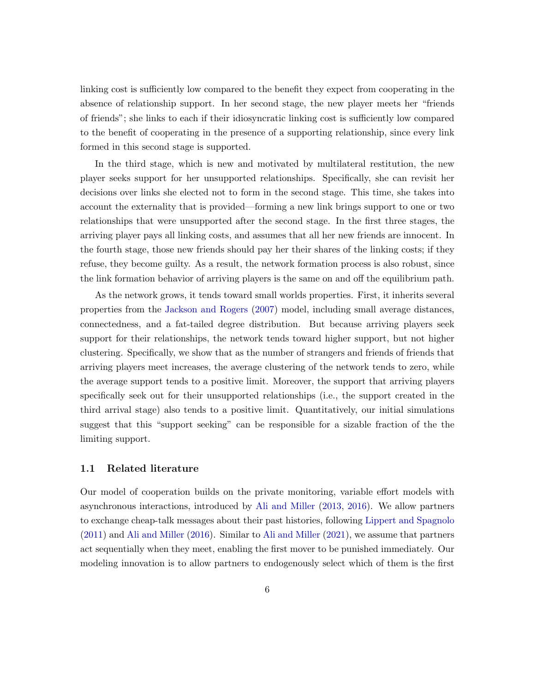linking cost is sufficiently low compared to the benefit they expect from cooperating in the absence of relationship support. In her second stage, the new player meets her "friends of friends"; she links to each if their idiosyncratic linking cost is sufficiently low compared to the benefit of cooperating in the presence of a supporting relationship, since every link formed in this second stage is supported.

In the third stage, which is new and motivated by multilateral restitution, the new player seeks support for her unsupported relationships. Specifically, she can revisit her decisions over links she elected not to form in the second stage. This time, she takes into account the externality that is provided—forming a new link brings support to one or two relationships that were unsupported after the second stage. In the first three stages, the arriving player pays all linking costs, and assumes that all her new friends are innocent. In the fourth stage, those new friends should pay her their shares of the linking costs; if they refuse, they become guilty. As a result, the network formation process is also robust, since the link formation behavior of arriving players is the same on and off the equilibrium path.

As the network grows, it tends toward small worlds properties. First, it inherits several properties from the [Jackson and Rogers](#page-27-0) [\(2007\)](#page-27-0) model, including small average distances, connectedness, and a fat-tailed degree distribution. But because arriving players seek support for their relationships, the network tends toward higher support, but not higher clustering. Specifically, we show that as the number of strangers and friends of friends that arriving players meet increases, the average clustering of the network tends to zero, while the average support tends to a positive limit. Moreover, the support that arriving players specifically seek out for their unsupported relationships (i.e., the support created in the third arrival stage) also tends to a positive limit. Quantitatively, our initial simulations suggest that this "support seeking" can be responsible for a sizable fraction of the the limiting support.

## 1.1 Related literature

Our model of cooperation builds on the private monitoring, variable effort models with asynchronous interactions, introduced by [Ali and Miller](#page-26-3) [\(2013,](#page-26-3) [2016\)](#page-26-1). We allow partners to exchange cheap-talk messages about their past histories, following [Lippert and Spagnolo](#page-27-7) [\(2011\)](#page-27-7) and [Ali and Miller](#page-26-1) [\(2016\)](#page-26-1). Similar to [Ali and Miller](#page-26-4) [\(2021\)](#page-26-4), we assume that partners act sequentially when they meet, enabling the first mover to be punished immediately. Our modeling innovation is to allow partners to endogenously select which of them is the first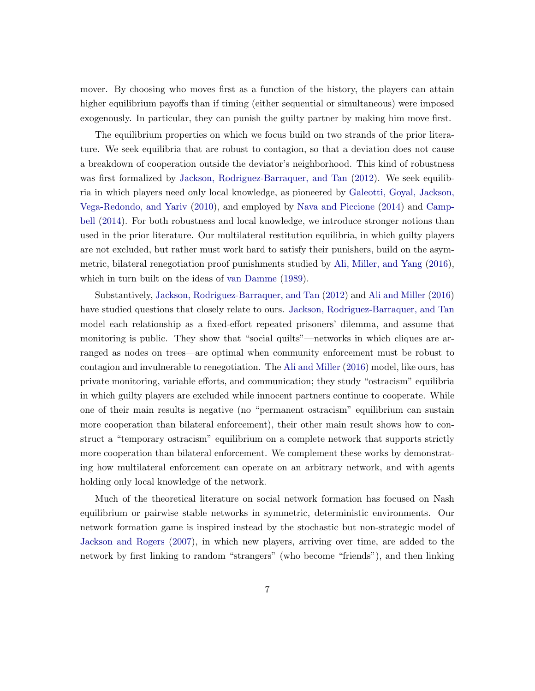mover. By choosing who moves first as a function of the history, the players can attain higher equilibrium payoffs than if timing (either sequential or simultaneous) were imposed exogenously. In particular, they can punish the guilty partner by making him move first.

The equilibrium properties on which we focus build on two strands of the prior literature. We seek equilibria that are robust to contagion, so that a deviation does not cause a breakdown of cooperation outside the deviator's neighborhood. This kind of robustness was first formalized by [Jackson, Rodriguez-Barraquer, and Tan](#page-27-1) [\(2012\)](#page-27-1). We seek equilibria in which players need only local knowledge, as pioneered by [Galeotti, Goyal, Jackson,](#page-27-8) [Vega-Redondo, and Yariv](#page-27-8) [\(2010\)](#page-27-8), and employed by [Nava and Piccione](#page-27-9) [\(2014\)](#page-27-9) and [Camp](#page-26-5)[bell](#page-26-5) [\(2014\)](#page-26-5). For both robustness and local knowledge, we introduce stronger notions than used in the prior literature. Our multilateral restitution equilibria, in which guilty players are not excluded, but rather must work hard to satisfy their punishers, build on the asymmetric, bilateral renegotiation proof punishments studied by [Ali, Miller, and Yang](#page-26-6) [\(2016\)](#page-26-6), which in turn built on the ideas of [van Damme](#page-27-10) [\(1989\)](#page-27-10).

Substantively, [Jackson, Rodriguez-Barraquer, and Tan](#page-27-1) [\(2012\)](#page-27-1) and [Ali and Miller](#page-26-1) [\(2016\)](#page-26-1) have studied questions that closely relate to ours. [Jackson, Rodriguez-Barraquer, and Tan](#page-27-1) model each relationship as a fixed-effort repeated prisoners' dilemma, and assume that monitoring is public. They show that "social quilts"—networks in which cliques are arranged as nodes on trees—are optimal when community enforcement must be robust to contagion and invulnerable to renegotiation. The [Ali and Miller](#page-26-1) [\(2016\)](#page-26-1) model, like ours, has private monitoring, variable efforts, and communication; they study "ostracism" equilibria in which guilty players are excluded while innocent partners continue to cooperate. While one of their main results is negative (no "permanent ostracism" equilibrium can sustain more cooperation than bilateral enforcement), their other main result shows how to construct a "temporary ostracism" equilibrium on a complete network that supports strictly more cooperation than bilateral enforcement. We complement these works by demonstrating how multilateral enforcement can operate on an arbitrary network, and with agents holding only local knowledge of the network.

Much of the theoretical literature on social network formation has focused on Nash equilibrium or pairwise stable networks in symmetric, deterministic environments. Our network formation game is inspired instead by the stochastic but non-strategic model of [Jackson and Rogers](#page-27-0) [\(2007\)](#page-27-0), in which new players, arriving over time, are added to the network by first linking to random "strangers" (who become "friends"), and then linking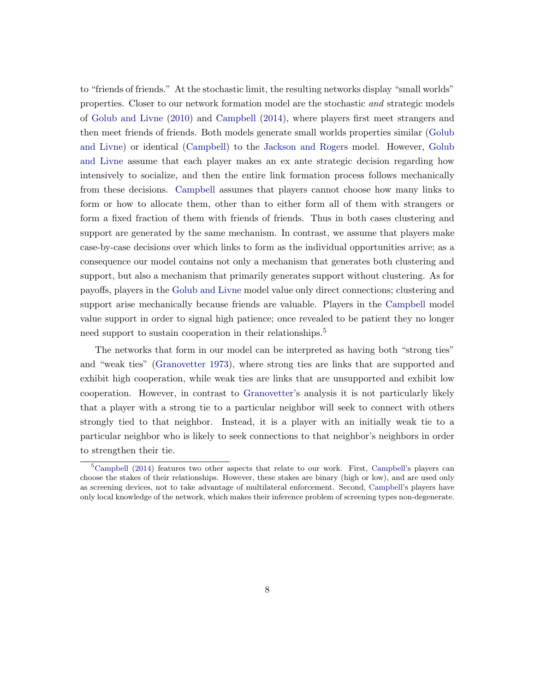to "friends of friends." At the stochastic limit, the resulting networks display "small worlds" properties. Closer to our network formation model are the stochastic and strategic models of [Golub and Livne](#page-27-11) [\(2010\)](#page-27-11) and [Campbell](#page-26-5) [\(2014\)](#page-26-5), where players first meet strangers and then meet friends of friends. Both models generate small worlds properties similar [\(Golub](#page-27-11) [and Livne\)](#page-27-11) or identical [\(Campbell\)](#page-26-5) to the [Jackson and Rogers](#page-27-0) model. However, [Golub](#page-27-11) [and Livne](#page-27-11) assume that each player makes an ex ante strategic decision regarding how intensively to socialize, and then the entire link formation process follows mechanically from these decisions. [Campbell](#page-26-5) assumes that players cannot choose how many links to form or how to allocate them, other than to either form all of them with strangers or form a fixed fraction of them with friends of friends. Thus in both cases clustering and support are generated by the same mechanism. In contrast, we assume that players make case-by-case decisions over which links to form as the individual opportunities arrive; as a consequence our model contains not only a mechanism that generates both clustering and support, but also a mechanism that primarily generates support without clustering. As for payoffs, players in the [Golub and Livne](#page-27-11) model value only direct connections; clustering and support arise mechanically because friends are valuable. Players in the [Campbell](#page-26-5) model value support in order to signal high patience; once revealed to be patient they no longer need support to sustain cooperation in their relationships.<sup>[5](#page-0-0)</sup>

The networks that form in our model can be interpreted as having both "strong ties" and "weak ties" [\(Granovetter](#page-27-12) [1973\)](#page-27-12), where strong ties are links that are supported and exhibit high cooperation, while weak ties are links that are unsupported and exhibit low cooperation. However, in contrast to [Granovetter'](#page-27-12)s analysis it is not particularly likely that a player with a strong tie to a particular neighbor will seek to connect with others strongly tied to that neighbor. Instead, it is a player with an initially weak tie to a particular neighbor who is likely to seek connections to that neighbor's neighbors in order to strengthen their tie.

 $5$ [Campbell](#page-26-5) [\(2014\)](#page-26-5) features two other aspects that relate to our work. First, [Campbell'](#page-26-5)s players can choose the stakes of their relationships. However, these stakes are binary (high or low), and are used only as screening devices, not to take advantage of multilateral enforcement. Second, [Campbell'](#page-26-5)s players have only local knowledge of the network, which makes their inference problem of screening types non-degenerate.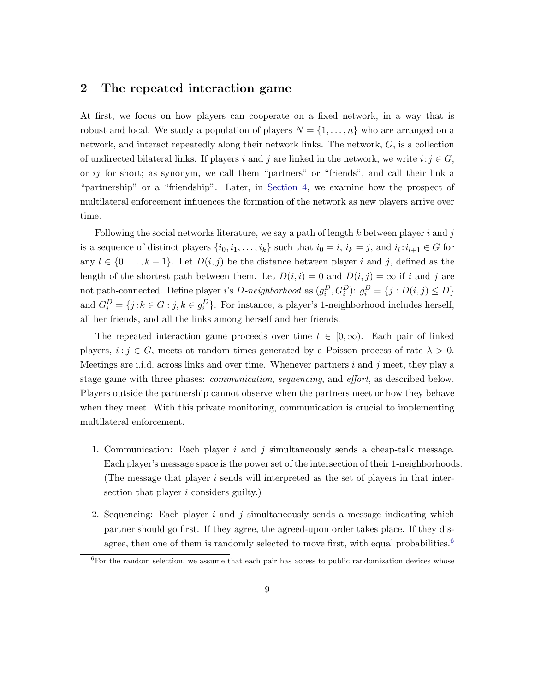# <span id="page-8-0"></span>2 The repeated interaction game

At first, we focus on how players can cooperate on a fixed network, in a way that is robust and local. We study a population of players  $N = \{1, \ldots, n\}$  who are arranged on a network, and interact repeatedly along their network links. The network, G, is a collection of undirected bilateral links. If players i and j are linked in the network, we write  $i: j \in G$ , or ij for short; as synonym, we call them "partners" or "friends", and call their link a "partnership" or a "friendship". Later, in [Section 4,](#page-19-0) we examine how the prospect of multilateral enforcement influences the formation of the network as new players arrive over time.

Following the social networks literature, we say a path of length  $k$  between player i and j is a sequence of distinct players  $\{i_0, i_1, \ldots, i_k\}$  such that  $i_0 = i$ ,  $i_k = j$ , and  $i_l : i_{l+1} \in G$  for any  $l \in \{0, \ldots, k-1\}$ . Let  $D(i, j)$  be the distance between player i and j, defined as the length of the shortest path between them. Let  $D(i, i) = 0$  and  $D(i, j) = \infty$  if i and j are not path-connected. Define player *i*'s *D*-neighborhood as  $(g_i^D, G_i^D)$ :  $g_i^D = \{j : D(i, j) \le D\}$ and  $G_i^D = \{j : k \in G : j, k \in g_i^D\}$ . For instance, a player's 1-neighborhood includes herself, all her friends, and all the links among herself and her friends.

The repeated interaction game proceeds over time  $t \in [0,\infty)$ . Each pair of linked players,  $i : j \in G$ , meets at random times generated by a Poisson process of rate  $\lambda > 0$ . Meetings are i.i.d. across links and over time. Whenever partners i and j meet, they play a stage game with three phases: communication, sequencing, and effort, as described below. Players outside the partnership cannot observe when the partners meet or how they behave when they meet. With this private monitoring, communication is crucial to implementing multilateral enforcement.

- 1. Communication: Each player i and j simultaneously sends a cheap-talk message. Each player's message space is the power set of the intersection of their 1-neighborhoods. (The message that player i sends will interpreted as the set of players in that intersection that player *i* considers guilty.)
- 2. Sequencing: Each player  $i$  and  $j$  simultaneously sends a message indicating which partner should go first. If they agree, the agreed-upon order takes place. If they dis-agree, then one of them is randomly selected to move first, with equal probabilities.<sup>[6](#page-0-0)</sup>

 ${}^{6}$  For the random selection, we assume that each pair has access to public randomization devices whose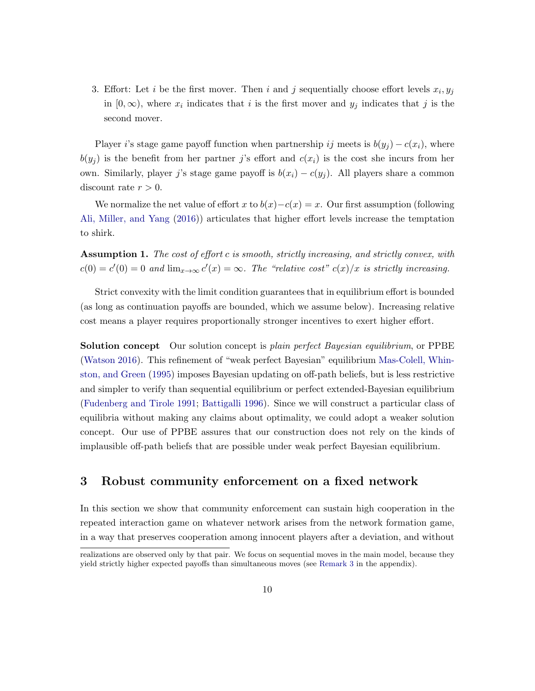3. Effort: Let i be the first mover. Then i and j sequentially choose effort levels  $x_i, y_j$ in  $[0, \infty)$ , where  $x_i$  indicates that i is the first mover and  $y_j$  indicates that j is the second mover.

Player i's stage game payoff function when partnership ij meets is  $b(y_i) - c(x_i)$ , where  $b(y_i)$  is the benefit from her partner j's effort and  $c(x_i)$  is the cost she incurs from her own. Similarly, player j's stage game payoff is  $b(x_i) - c(y_i)$ . All players share a common discount rate  $r > 0$ .

We normalize the net value of effort x to  $b(x) - c(x) = x$ . Our first assumption (following [Ali, Miller, and Yang](#page-26-6) [\(2016\)](#page-26-6)) articulates that higher effort levels increase the temptation to shirk.

<span id="page-9-0"></span>Assumption 1. The cost of effort c is smooth, strictly increasing, and strictly convex, with  $c(0) = c'(0) = 0$  and  $\lim_{x\to\infty} c'(x) = \infty$ . The "relative cost"  $c(x)/x$  is strictly increasing.

Strict convexity with the limit condition guarantees that in equilibrium effort is bounded (as long as continuation payoffs are bounded, which we assume below). Increasing relative cost means a player requires proportionally stronger incentives to exert higher effort.

Solution concept Our solution concept is plain perfect Bayesian equilibrium, or PPBE [\(Watson](#page-27-13) [2016\)](#page-27-13). This refinement of "weak perfect Bayesian" equilibrium [Mas-Colell, Whin](#page-27-14)[ston, and Green](#page-27-14) [\(1995\)](#page-27-14) imposes Bayesian updating on off-path beliefs, but is less restrictive and simpler to verify than sequential equilibrium or perfect extended-Bayesian equilibrium [\(Fudenberg and Tirole](#page-27-15) [1991;](#page-27-15) [Battigalli](#page-26-7) [1996\)](#page-26-7). Since we will construct a particular class of equilibria without making any claims about optimality, we could adopt a weaker solution concept. Our use of PPBE assures that our construction does not rely on the kinds of implausible off-path beliefs that are possible under weak perfect Bayesian equilibrium.

# 3 Robust community enforcement on a fixed network

In this section we show that community enforcement can sustain high cooperation in the repeated interaction game on whatever network arises from the network formation game, in a way that preserves cooperation among innocent players after a deviation, and without

realizations are observed only by that pair. We focus on sequential moves in the main model, because they yield strictly higher expected payoffs than simultaneous moves (see [Remark 3](#page-32-0) in the appendix).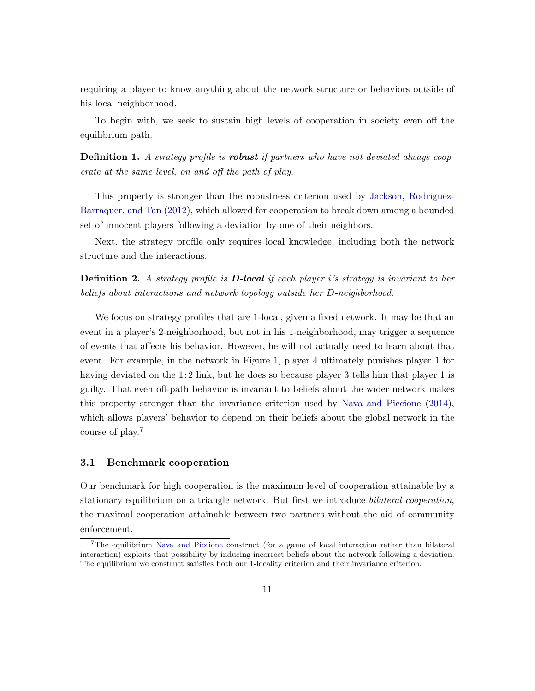requiring a player to know anything about the network structure or behaviors outside of his local neighborhood.

To begin with, we seek to sustain high levels of cooperation in society even off the equilibrium path.

**Definition 1.** A strategy profile is **robust** if partners who have not deviated always cooperate at the same level, on and off the path of play.

This property is stronger than the robustness criterion used by [Jackson, Rodriguez-](#page-27-1)[Barraquer, and Tan](#page-27-1) [\(2012\)](#page-27-1), which allowed for cooperation to break down among a bounded set of innocent players following a deviation by one of their neighbors.

Next, the strategy profile only requires local knowledge, including both the network structure and the interactions.

**Definition 2.** A strategy profile is **D-local** if each player i's strategy is invariant to her beliefs about interactions and network topology outside her D-neighborhood.

We focus on strategy profiles that are 1-local, given a fixed network. It may be that an event in a player's 2-neighborhood, but not in his 1-neighborhood, may trigger a sequence of events that affects his behavior. However, he will not actually need to learn about that event. For example, in the network in Figure [1,](#page-3-0) player 4 ultimately punishes player 1 for having deviated on the  $1:2$  link, but he does so because player 3 tells him that player 1 is guilty. That even off-path behavior is invariant to beliefs about the wider network makes this property stronger than the invariance criterion used by [Nava and Piccione](#page-27-9) [\(2014\)](#page-27-9), which allows players' behavior to depend on their beliefs about the global network in the course of play.[7](#page-0-0)

## <span id="page-10-0"></span>3.1 Benchmark cooperation

Our benchmark for high cooperation is the maximum level of cooperation attainable by a stationary equilibrium on a triangle network. But first we introduce *bilateral cooperation*, the maximal cooperation attainable between two partners without the aid of community enforcement.

<sup>&</sup>lt;sup>7</sup>The equilibrium [Nava and Piccione](#page-27-9) construct (for a game of local interaction rather than bilateral interaction) exploits that possibility by inducing incorrect beliefs about the network following a deviation. The equilibrium we construct satisfies both our 1-locality criterion and their invariance criterion.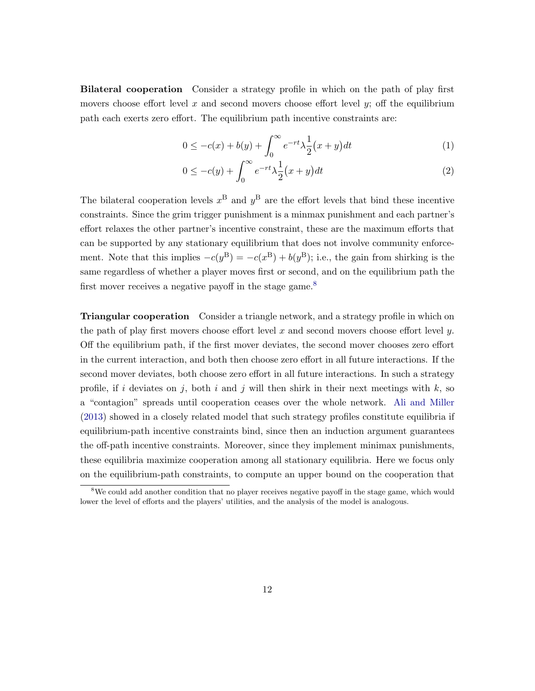Bilateral cooperation Consider a strategy profile in which on the path of play first movers choose effort level x and second movers choose effort level  $y$ ; off the equilibrium path each exerts zero effort. The equilibrium path incentive constraints are:

<span id="page-11-0"></span>
$$
0 \le -c(x) + b(y) + \int_0^\infty e^{-rt} \lambda \frac{1}{2} (x + y) dt \tag{1}
$$

<span id="page-11-1"></span>
$$
0 \le -c(y) + \int_0^\infty e^{-rt} \lambda \frac{1}{2} (x+y) dt \tag{2}
$$

The bilateral cooperation levels  $x^{\text{B}}$  and  $y^{\text{B}}$  are the effort levels that bind these incentive constraints. Since the grim trigger punishment is a minmax punishment and each partner's effort relaxes the other partner's incentive constraint, these are the maximum efforts that can be supported by any stationary equilibrium that does not involve community enforcement. Note that this implies  $-c(y^B) = -c(x^B) + b(y^B)$ ; i.e., the gain from shirking is the same regardless of whether a player moves first or second, and on the equilibrium path the first mover receives a negative payoff in the stage game.<sup>[8](#page-0-0)</sup>

Triangular cooperation Consider a triangle network, and a strategy profile in which on the path of play first movers choose effort level x and second movers choose effort level y. Off the equilibrium path, if the first mover deviates, the second mover chooses zero effort in the current interaction, and both then choose zero effort in all future interactions. If the second mover deviates, both choose zero effort in all future interactions. In such a strategy profile, if i deviates on j, both i and j will then shirk in their next meetings with  $k$ , so a "contagion" spreads until cooperation ceases over the whole network. [Ali and Miller](#page-26-3) [\(2013\)](#page-26-3) showed in a closely related model that such strategy profiles constitute equilibria if equilibrium-path incentive constraints bind, since then an induction argument guarantees the off-path incentive constraints. Moreover, since they implement minimax punishments, these equilibria maximize cooperation among all stationary equilibria. Here we focus only on the equilibrium-path constraints, to compute an upper bound on the cooperation that

<sup>&</sup>lt;sup>8</sup>We could add another condition that no player receives negative payoff in the stage game, which would lower the level of efforts and the players' utilities, and the analysis of the model is analogous.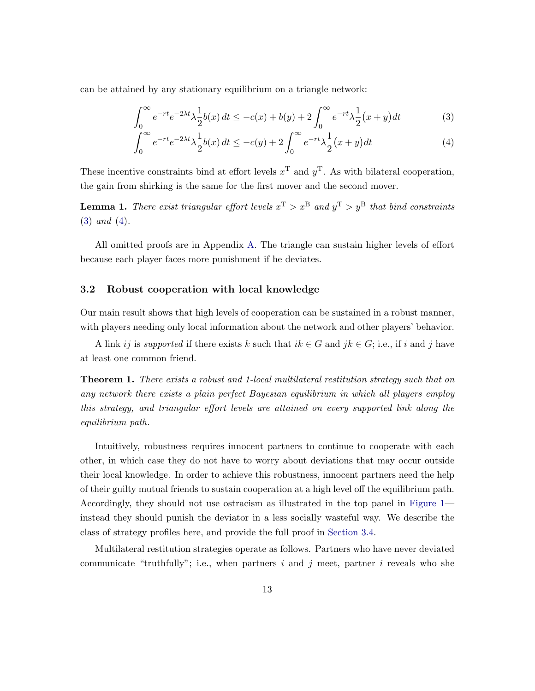can be attained by any stationary equilibrium on a triangle network:

<span id="page-12-0"></span>
$$
\int_0^\infty e^{-rt} e^{-2\lambda t} \lambda \frac{1}{2} b(x) dt \le -c(x) + b(y) + 2 \int_0^\infty e^{-rt} \lambda \frac{1}{2} (x+y) dt \tag{3}
$$

<span id="page-12-1"></span>
$$
\int_0^\infty e^{-rt} e^{-2\lambda t} \lambda \frac{1}{2} b(x) dt \le -c(y) + 2 \int_0^\infty e^{-rt} \lambda \frac{1}{2} (x+y) dt \tag{4}
$$

These incentive constraints bind at effort levels  $x^T$  and  $y^T$ . As with bilateral cooperation, the gain from shirking is the same for the first mover and the second mover.

<span id="page-12-3"></span>**Lemma 1.** There exist triangular effort levels  $x^T > x^B$  and  $y^T > y^B$  that bind constraints [\(3\)](#page-12-0) and [\(4\)](#page-12-1).

All omitted proofs are in Appendix [A.](#page-28-0) The triangle can sustain higher levels of effort because each player faces more punishment if he deviates.

## 3.2 Robust cooperation with local knowledge

Our main result shows that high levels of cooperation can be sustained in a robust manner, with players needing only local information about the network and other players' behavior.

A link ij is supported if there exists k such that  $ik \in G$  and  $jk \in G$ ; i.e., if i and j have at least one common friend.

<span id="page-12-2"></span>Theorem 1. There exists a robust and 1-local multilateral restitution strategy such that on any network there exists a plain perfect Bayesian equilibrium in which all players employ this strategy, and triangular effort levels are attained on every supported link along the equilibrium path.

Intuitively, robustness requires innocent partners to continue to cooperate with each other, in which case they do not have to worry about deviations that may occur outside their local knowledge. In order to achieve this robustness, innocent partners need the help of their guilty mutual friends to sustain cooperation at a high level off the equilibrium path. Accordingly, they should not use ostracism as illustrated in the top panel in [Figure 1](#page-3-0) instead they should punish the deviator in a less socially wasteful way. We describe the class of strategy profiles here, and provide the full proof in [Section 3.4.](#page-16-0)

Multilateral restitution strategies operate as follows. Partners who have never deviated communicate "truthfully"; i.e., when partners i and j meet, partner i reveals who she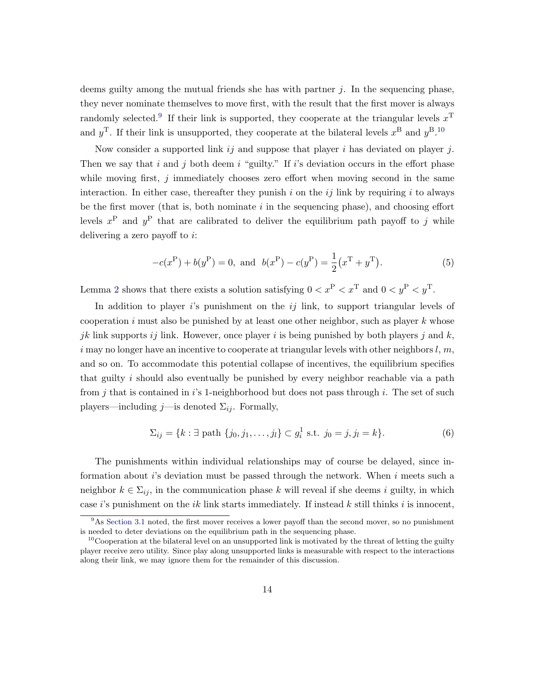deems guilty among the mutual friends she has with partner  $j$ . In the sequencing phase, they never nominate themselves to move first, with the result that the first mover is always randomly selected.<sup>[9](#page-0-0)</sup> If their link is supported, they cooperate at the triangular levels  $x^T$ and  $y^{\text{T}}$ . If their link is unsupported, they cooperate at the bilateral levels  $x^{\text{B}}$  and  $y^{\text{B}}$ .<sup>[10](#page-0-0)</sup>

Now consider a supported link  $i_j$  and suppose that player i has deviated on player j. Then we say that i and j both deem i "guilty." If i's deviation occurs in the effort phase while moving first,  $j$  immediately chooses zero effort when moving second in the same interaction. In either case, thereafter they punish i on the  $ij$  link by requiring i to always be the first mover (that is, both nominate  $i$  in the sequencing phase), and choosing effort levels  $x^{\text{P}}$  and  $y^{\text{P}}$  that are calibrated to deliver the equilibrium path payoff to j while delivering a zero payoff to  $i$ :

$$
-c(x^{P}) + b(y^{P}) = 0, \text{ and } b(x^{P}) - c(y^{P}) = \frac{1}{2}(x^{T} + y^{T}).
$$
 (5)

Lemma [2](#page-17-0) shows that there exists a solution satisfying  $0 < x^P < x^T$  and  $0 < y^P < y^T$ .

In addition to player  $i$ 's punishment on the  $ij$  link, to support triangular levels of cooperation  $i$  must also be punished by at least one other neighbor, such as player  $k$  whose jk link supports ij link. However, once player i is being punished by both players j and  $k$ , i may no longer have an incentive to cooperate at triangular levels with other neighbors  $l, m$ , and so on. To accommodate this potential collapse of incentives, the equilibrium specifies that guilty  $i$  should also eventually be punished by every neighbor reachable via a path from  $j$  that is contained in  $i$ 's 1-neighborhood but does not pass through  $i$ . The set of such players—including  $j$ —is denoted  $\Sigma_{ij}$ . Formally,

$$
\Sigma_{ij} = \{k : \exists \text{ path } \{j_0, j_1, \dots, j_l\} \subset g_i^1 \text{ s.t. } j_0 = j, j_l = k\}.
$$
 (6)

The punishments within individual relationships may of course be delayed, since information about i's deviation must be passed through the network. When  $i$  meets such a neighbor  $k \in \Sigma_{ij}$ , in the communication phase k will reveal if she deems i guilty, in which case i's punishment on the ik link starts immediately. If instead  $k$  still thinks i is innocent,

 $9<sup>9</sup>$ As [Section 3.1](#page-10-0) noted, the first mover receives a lower payoff than the second mover, so no punishment is needed to deter deviations on the equilibrium path in the sequencing phase.

 $10$ Cooperation at the bilateral level on an unsupported link is motivated by the threat of letting the guilty player receive zero utility. Since play along unsupported links is measurable with respect to the interactions along their link, we may ignore them for the remainder of this discussion.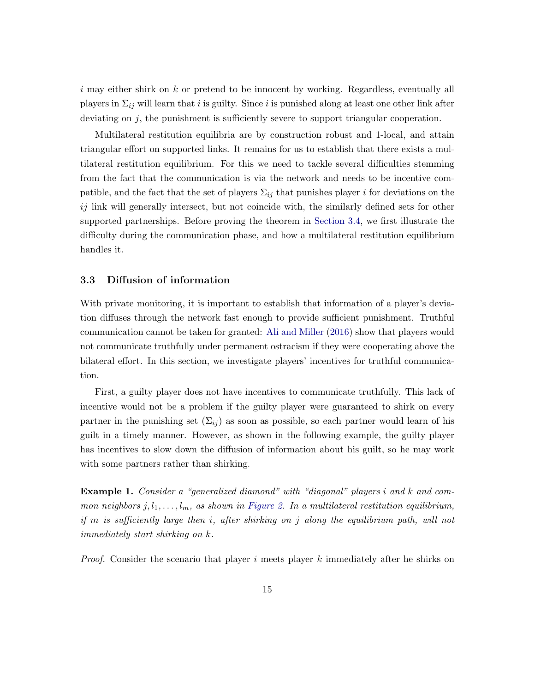$i$  may either shirk on  $k$  or pretend to be innocent by working. Regardless, eventually all players in  $\Sigma_{ij}$  will learn that i is guilty. Since i is punished along at least one other link after deviating on  $j$ , the punishment is sufficiently severe to support triangular cooperation.

Multilateral restitution equilibria are by construction robust and 1-local, and attain triangular effort on supported links. It remains for us to establish that there exists a multilateral restitution equilibrium. For this we need to tackle several difficulties stemming from the fact that the communication is via the network and needs to be incentive compatible, and the fact that the set of players  $\Sigma_{ij}$  that punishes player i for deviations on the  $ij$  link will generally intersect, but not coincide with, the similarly defined sets for other supported partnerships. Before proving the theorem in [Section 3.4,](#page-16-0) we first illustrate the difficulty during the communication phase, and how a multilateral restitution equilibrium handles it.

### <span id="page-14-0"></span>3.3 Diffusion of information

With private monitoring, it is important to establish that information of a player's deviation diffuses through the network fast enough to provide sufficient punishment. Truthful communication cannot be taken for granted: [Ali and Miller](#page-26-1) [\(2016\)](#page-26-1) show that players would not communicate truthfully under permanent ostracism if they were cooperating above the bilateral effort. In this section, we investigate players' incentives for truthful communication.

First, a guilty player does not have incentives to communicate truthfully. This lack of incentive would not be a problem if the guilty player were guaranteed to shirk on every partner in the punishing set  $(\Sigma_{ij})$  as soon as possible, so each partner would learn of his guilt in a timely manner. However, as shown in the following example, the guilty player has incentives to slow down the diffusion of information about his guilt, so he may work with some partners rather than shirking.

Example 1. Consider a "generalized diamond" with "diagonal" players i and k and common neighbors  $j, l_1, \ldots, l_m$ , as shown in [Figure 2.](#page-15-0) In a multilateral restitution equilibrium, if m is sufficiently large then i, after shirking on j along the equilibrium path, will not immediately start shirking on k.

*Proof.* Consider the scenario that player i meets player k immediately after he shirks on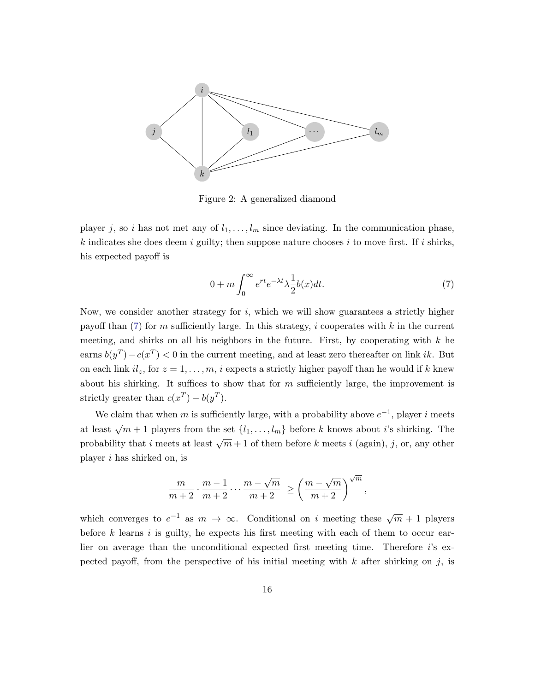

<span id="page-15-0"></span>Figure 2: A generalized diamond

player j, so i has not met any of  $l_1, \ldots, l_m$  since deviating. In the communication phase, k indicates she does deem i guilty; then suppose nature chooses i to move first. If i shirks, his expected payoff is

$$
0 + m \int_0^\infty e^{rt} e^{-\lambda t} \lambda \frac{1}{2} b(x) dt.
$$
 (7)

<span id="page-15-1"></span>,

Now, we consider another strategy for  $i$ , which we will show guarantees a strictly higher payoff than  $(7)$  for m sufficiently large. In this strategy, i cooperates with k in the current meeting, and shirks on all his neighbors in the future. First, by cooperating with  $k$  he earns  $b(y^T) - c(x^T) < 0$  in the current meeting, and at least zero thereafter on link *ik*. But on each link  $il_z$ , for  $z = 1, ..., m$ , i expects a strictly higher payoff than he would if k knew about his shirking. It suffices to show that for  $m$  sufficiently large, the improvement is strictly greater than  $c(x^T) - b(y^T)$ .

We claim that when m is sufficiently large, with a probability above  $e^{-1}$ , player i meets at least  $\sqrt{m} + 1$  players from the set  $\{l_1, \ldots, l_m\}$  before k knows about i's shirking. The probability that i meets at least  $\sqrt{m} + 1$  of them before k meets i (again), j, or, any other player i has shirked on, is

$$
\frac{m}{m+2} \cdot \frac{m-1}{m+2} \cdots \frac{m-\sqrt{m}}{m+2} \ge \left(\frac{m-\sqrt{m}}{m+2}\right)^{\sqrt{m}}
$$

which converges to  $e^{-1}$  as  $m \to \infty$ . Conditional on *i* meeting these  $\sqrt{m} + 1$  players before  $k$  learns  $i$  is guilty, he expects his first meeting with each of them to occur earlier on average than the unconditional expected first meeting time. Therefore i's expected payoff, from the perspective of his initial meeting with  $k$  after shirking on j, is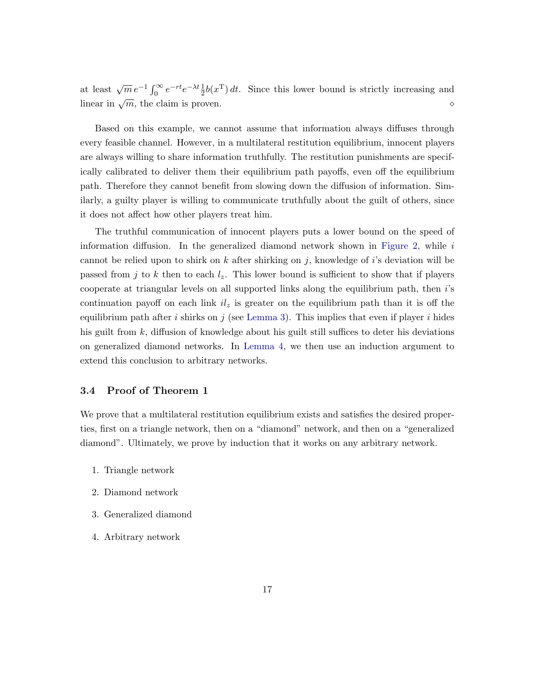at least  $\sqrt{m} e^{-1} \int_0^\infty e^{-rt} e^{-\lambda t} \frac{1}{2} b(x^{\mathrm{T}}) dt$ . Since this lower bound is strictly increasing and linear in  $\sqrt{m}$ , the claim is proven.

Based on this example, we cannot assume that information always diffuses through every feasible channel. However, in a multilateral restitution equilibrium, innocent players are always willing to share information truthfully. The restitution punishments are specifically calibrated to deliver them their equilibrium path payoffs, even off the equilibrium path. Therefore they cannot benefit from slowing down the diffusion of information. Similarly, a guilty player is willing to communicate truthfully about the guilt of others, since it does not affect how other players treat him.

The truthful communication of innocent players puts a lower bound on the speed of information diffusion. In the generalized diamond network shown in [Figure 2,](#page-15-0) while  $i$ cannot be relied upon to shirk on k after shirking on j, knowledge of i's deviation will be passed from j to k then to each  $l_z$ . This lower bound is sufficient to show that if players cooperate at triangular levels on all supported links along the equilibrium path, then i's continuation payoff on each link  $il_z$  is greater on the equilibrium path than it is off the equilibrium path after i shirks on j (see [Lemma 3\)](#page-17-1). This implies that even if player i hides his guilt from k, diffusion of knowledge about his guilt still suffices to deter his deviations on generalized diamond networks. In [Lemma 4,](#page-18-0) we then use an induction argument to extend this conclusion to arbitrary networks.

#### <span id="page-16-0"></span>3.4 Proof of Theorem 1

We prove that a multilateral restitution equilibrium exists and satisfies the desired properties, first on a triangle network, then on a "diamond" network, and then on a "generalized diamond". Ultimately, we prove by induction that it works on any arbitrary network.

- 1. Triangle network
- 2. Diamond network
- 3. Generalized diamond
- 4. Arbitrary network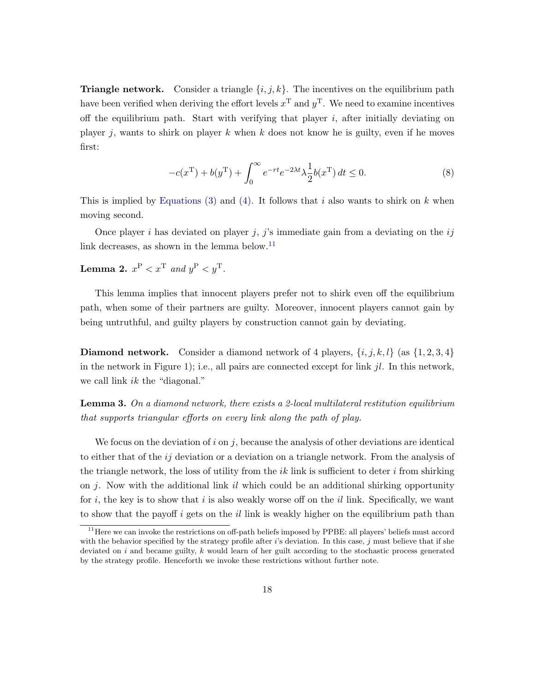**Triangle network.** Consider a triangle  $\{i, j, k\}$ . The incentives on the equilibrium path have been verified when deriving the effort levels  $x^{\text{T}}$  and  $y^{\text{T}}$ . We need to examine incentives off the equilibrium path. Start with verifying that player  $i$ , after initially deviating on player j, wants to shirk on player k when k does not know he is guilty, even if he moves first:

$$
-c(x^{T}) + b(y^{T}) + \int_0^{\infty} e^{-rt} e^{-2\lambda t} \lambda \frac{1}{2} b(x^{T}) dt \le 0.
$$
 (8)

This is implied by [Equations \(3\)](#page-12-0) and [\(4\).](#page-12-1) It follows that i also wants to shirk on  $k$  when moving second.

Once player i has deviated on player j, j's immediate gain from a deviating on the  $ij$ link decreases, as shown in the lemma below.<sup>[11](#page-0-0)</sup>

## <span id="page-17-0"></span>Lemma 2.  $x^{\mathrm{P}} < x^{\mathrm{T}}$  and  $y^{\mathrm{P}} < y^{\mathrm{T}}$ .

This lemma implies that innocent players prefer not to shirk even off the equilibrium path, when some of their partners are guilty. Moreover, innocent players cannot gain by being untruthful, and guilty players by construction cannot gain by deviating.

**Diamond network.** Consider a diamond network of 4 players,  $\{i, j, k, l\}$  (as  $\{1, 2, 3, 4\}$ ) in the network in Figure [1\)](#page-3-0); i.e., all pairs are connected except for link  $jl$ . In this network, we call link *ik* the "diagonal."

<span id="page-17-1"></span>**Lemma 3.** On a diamond network, there exists a 2-local multilateral restitution equilibrium that supports triangular efforts on every link along the path of play.

We focus on the deviation of i on j, because the analysis of other deviations are identical to either that of the ij deviation or a deviation on a triangle network. From the analysis of the triangle network, the loss of utility from the  $ik$  link is sufficient to deter i from shirking on j. Now with the additional link il which could be an additional shirking opportunity for i, the key is to show that i is also weakly worse off on the il link. Specifically, we want to show that the payoff  $i$  gets on the  $il$  link is weakly higher on the equilibrium path than

<sup>&</sup>lt;sup>11</sup>Here we can invoke the restrictions on off-path beliefs imposed by PPBE: all players' beliefs must accord with the behavior specified by the strategy profile after  $i$ 's deviation. In this case,  $j$  must believe that if she deviated on  $i$  and became guilty,  $k$  would learn of her guilt according to the stochastic process generated by the strategy profile. Henceforth we invoke these restrictions without further note.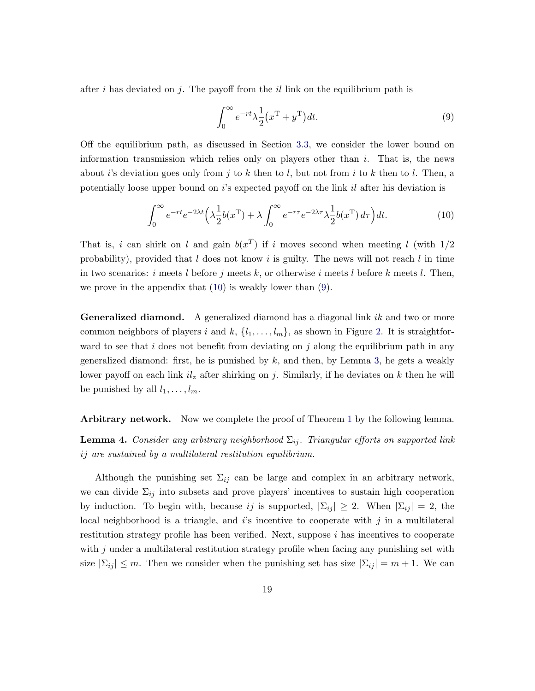after i has deviated on j. The payoff from the il link on the equilibrium path is

<span id="page-18-2"></span><span id="page-18-1"></span>
$$
\int_0^\infty e^{-rt} \lambda \frac{1}{2} (x^{\mathrm{T}} + y^{\mathrm{T}}) dt.
$$
\n(9)

Off the equilibrium path, as discussed in Section [3.3,](#page-14-0) we consider the lower bound on information transmission which relies only on players other than  $i$ . That is, the news about i's deviation goes only from j to k then to l, but not from i to k then to l. Then, a potentially loose upper bound on  $i$ 's expected payoff on the link  $il$  after his deviation is

$$
\int_0^\infty e^{-rt}e^{-2\lambda t} \left(\lambda \frac{1}{2}b(x^{\mathrm{T}}) + \lambda \int_0^\infty e^{-r\tau}e^{-2\lambda \tau} \lambda \frac{1}{2}b(x^{\mathrm{T}}) d\tau\right) dt. \tag{10}
$$

That is, i can shirk on l and gain  $b(x^T)$  if i moves second when meeting l (with  $1/2$ probability), provided that  $l$  does not know i is guilty. The news will not reach  $l$  in time in two scenarios: i meets l before j meets k, or otherwise i meets l before k meets l. Then, we prove in the appendix that [\(10\)](#page-18-1) is weakly lower than [\(9\)](#page-18-2).

**Generalized diamond.** A generalized diamond has a diagonal link ik and two or more common neighbors of players i and  $k, \{l_1, \ldots, l_m\}$ , as shown in Figure [2.](#page-15-0) It is straightforward to see that i does not benefit from deviating on j along the equilibrium path in any generalized diamond: first, he is punished by  $k$ , and then, by Lemma [3,](#page-17-1) he gets a weakly lower payoff on each link  $il_z$  after shirking on j. Similarly, if he deviates on k then he will be punished by all  $l_1, \ldots, l_m$ .

<span id="page-18-0"></span>Arbitrary network. Now we complete the proof of Theorem [1](#page-12-2) by the following lemma.

**Lemma 4.** Consider any arbitrary neighborhood  $\Sigma_{ij}$ . Triangular efforts on supported link ij are sustained by a multilateral restitution equilibrium.

Although the punishing set  $\Sigma_{ij}$  can be large and complex in an arbitrary network, we can divide  $\Sigma_{ij}$  into subsets and prove players' incentives to sustain high cooperation by induction. To begin with, because ij is supported,  $|\Sigma_{ij}| \geq 2$ . When  $|\Sigma_{ij}| = 2$ , the local neighborhood is a triangle, and  $i$ 's incentive to cooperate with  $j$  in a multilateral restitution strategy profile has been verified. Next, suppose  $i$  has incentives to cooperate with  $j$  under a multilateral restitution strategy profile when facing any punishing set with size  $|\Sigma_{ij}| \leq m$ . Then we consider when the punishing set has size  $|\Sigma_{ij}| = m + 1$ . We can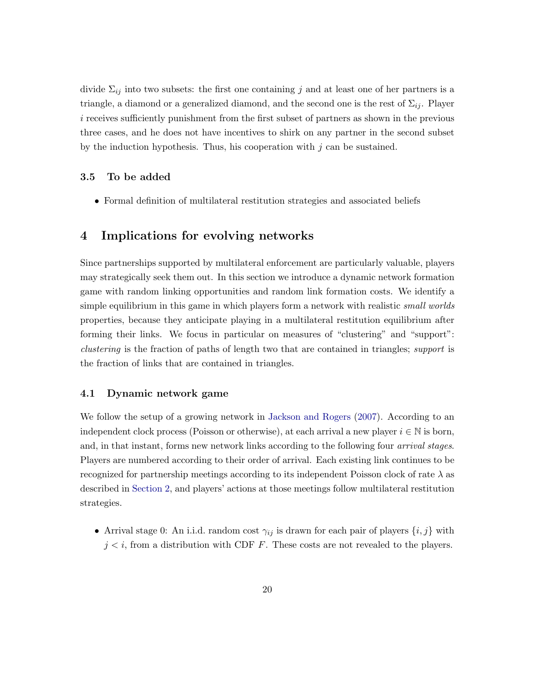divide  $\Sigma_{ij}$  into two subsets: the first one containing j and at least one of her partners is a triangle, a diamond or a generalized diamond, and the second one is the rest of  $\Sigma_{ij}$ . Player i receives sufficiently punishment from the first subset of partners as shown in the previous three cases, and he does not have incentives to shirk on any partner in the second subset by the induction hypothesis. Thus, his cooperation with  $j$  can be sustained.

## 3.5 To be added

• Formal definition of multilateral restitution strategies and associated beliefs

# <span id="page-19-0"></span>4 Implications for evolving networks

Since partnerships supported by multilateral enforcement are particularly valuable, players may strategically seek them out. In this section we introduce a dynamic network formation game with random linking opportunities and random link formation costs. We identify a simple equilibrium in this game in which players form a network with realistic *small worlds* properties, because they anticipate playing in a multilateral restitution equilibrium after forming their links. We focus in particular on measures of "clustering" and "support": clustering is the fraction of paths of length two that are contained in triangles; support is the fraction of links that are contained in triangles.

## 4.1 Dynamic network game

We follow the setup of a growing network in [Jackson and Rogers](#page-27-0) [\(2007\)](#page-27-0). According to an independent clock process (Poisson or otherwise), at each arrival a new player  $i \in \mathbb{N}$  is born, and, in that instant, forms new network links according to the following four *arrival stages*. Players are numbered according to their order of arrival. Each existing link continues to be recognized for partnership meetings according to its independent Poisson clock of rate  $\lambda$  as described in [Section 2,](#page-8-0) and players' actions at those meetings follow multilateral restitution strategies.

• Arrival stage 0: An i.i.d. random cost  $\gamma_{ij}$  is drawn for each pair of players  $\{i, j\}$  with  $j < i$ , from a distribution with CDF F. These costs are not revealed to the players.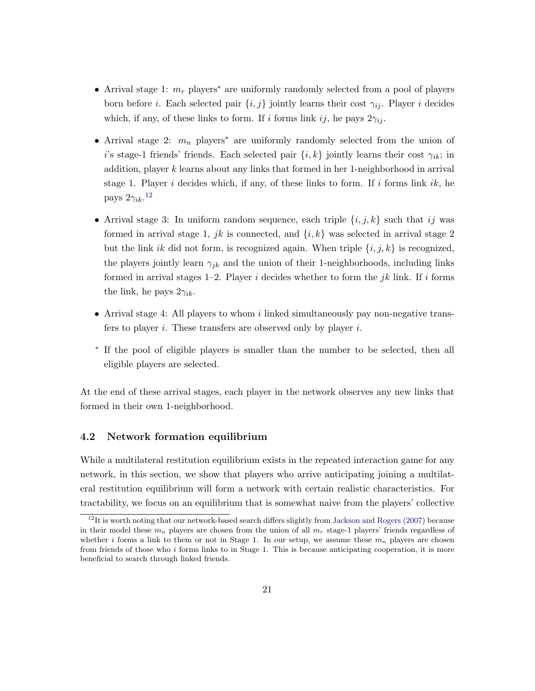- Arrival stage 1:  $m_r$  players<sup>\*</sup> are uniformly randomly selected from a pool of players born before *i*. Each selected pair  $\{i, j\}$  jointly learns their cost  $\gamma_{ij}$ . Player *i* decides which, if any, of these links to form. If i forms link ij, he pays  $2\gamma_{ij}$ .
- Arrival stage 2:  $m_n$  players<sup>\*</sup> are uniformly randomly selected from the union of i's stage-1 friends' friends. Each selected pair  $\{i, k\}$  jointly learns their cost  $\gamma_{ik}$ ; in addition, player k learns about any links that formed in her 1-neighborhood in arrival stage 1. Player i decides which, if any, of these links to form. If i forms link ik, he pays  $2\gamma_{ik}$ .<sup>[12](#page-0-0)</sup>
- Arrival stage 3: In uniform random sequence, each triple  $\{i, j, k\}$  such that ij was formed in arrival stage 1, jk is connected, and  $\{i, k\}$  was selected in arrival stage 2 but the link ik did not form, is recognized again. When triple  $\{i, j, k\}$  is recognized, the players jointly learn  $\gamma_{jk}$  and the union of their 1-neighborhoods, including links formed in arrival stages 1–2. Player i decides whether to form the jk link. If i forms the link, he pays  $2\gamma_{ik}$ .
- Arrival stage 4: All players to whom i linked simultaneously pay non-negative transfers to player i. These transfers are observed only by player i.
- ∗ If the pool of eligible players is smaller than the number to be selected, then all eligible players are selected.

At the end of these arrival stages, each player in the network observes any new links that formed in their own 1-neighborhood.

## 4.2 Network formation equilibrium

While a multilateral restitution equilibrium exists in the repeated interaction game for any network, in this section, we show that players who arrive anticipating joining a multilateral restitution equilibrium will form a network with certain realistic characteristics. For tractability, we focus on an equilibrium that is somewhat naive from the players' collective

 $12$ It is worth noting that our network-based search differs slightly from [Jackson and Rogers](#page-27-0) [\(2007\)](#page-27-0) because in their model these  $m_n$  players are chosen from the union of all  $m_r$  stage-1 players' friends regardless of whether i forms a link to them or not in Stage 1. In our setup, we assume these  $m_n$  players are chosen from friends of those who i forms links to in Stage 1. This is because anticipating cooperation, it is more beneficial to search through linked friends.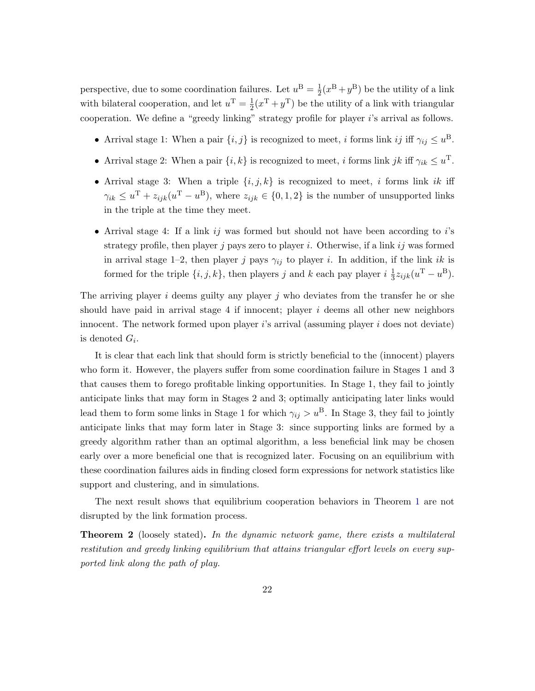perspective, due to some coordination failures. Let  $u^B = \frac{1}{2}$  $\frac{1}{2}(x^{\mathbf{B}}+y^{\mathbf{B}})$  be the utility of a link with bilateral cooperation, and let  $u^{\mathrm{T}} = \frac{1}{2}$  $\frac{1}{2}(x^{\mathrm{T}}+y^{\mathrm{T}})$  be the utility of a link with triangular cooperation. We define a "greedy linking" strategy profile for player i's arrival as follows.

- Arrival stage 1: When a pair  $\{i, j\}$  is recognized to meet, i forms link ij iff  $\gamma_{ij} \leq u^{\text{B}}$ .
- Arrival stage 2: When a pair  $\{i, k\}$  is recognized to meet, i forms link jk iff  $\gamma_{ik} \leq u^{\mathrm{T}}$ .
- Arrival stage 3: When a triple  $\{i, j, k\}$  is recognized to meet, i forms link ik iff  $\gamma_{ik} \leq u^{T} + z_{ijk}(u^{T} - u^{B}),$  where  $z_{ijk} \in \{0, 1, 2\}$  is the number of unsupported links in the triple at the time they meet.
- Arrival stage 4: If a link  $ij$  was formed but should not have been according to  $i$ 's strategy profile, then player j pays zero to player i. Otherwise, if a link ij was formed in arrival stage 1–2, then player j pays  $\gamma_{ij}$  to player i. In addition, if the link ik is formed for the triple  $\{i, j, k\}$ , then players j and k each pay player  $i\frac{1}{3}$  $\frac{1}{3}z_{ijk}(u^{\rm T} - u^{\rm B}).$

The arriving player  $i$  deems guilty any player  $j$  who deviates from the transfer he or she should have paid in arrival stage 4 if innocent; player  $i$  deems all other new neighbors innocent. The network formed upon player is arrival (assuming player i does not deviate) is denoted  $G_i$ .

It is clear that each link that should form is strictly beneficial to the (innocent) players who form it. However, the players suffer from some coordination failure in Stages 1 and 3 that causes them to forego profitable linking opportunities. In Stage 1, they fail to jointly anticipate links that may form in Stages 2 and 3; optimally anticipating later links would lead them to form some links in Stage 1 for which  $\gamma_{ij} > u^B$ . In Stage 3, they fail to jointly anticipate links that may form later in Stage 3: since supporting links are formed by a greedy algorithm rather than an optimal algorithm, a less beneficial link may be chosen early over a more beneficial one that is recognized later. Focusing on an equilibrium with these coordination failures aids in finding closed form expressions for network statistics like support and clustering, and in simulations.

The next result shows that equilibrium cooperation behaviors in Theorem [1](#page-12-2) are not disrupted by the link formation process.

**Theorem 2** (loosely stated). In the dynamic network game, there exists a multilateral restitution and greedy linking equilibrium that attains triangular effort levels on every supported link along the path of play.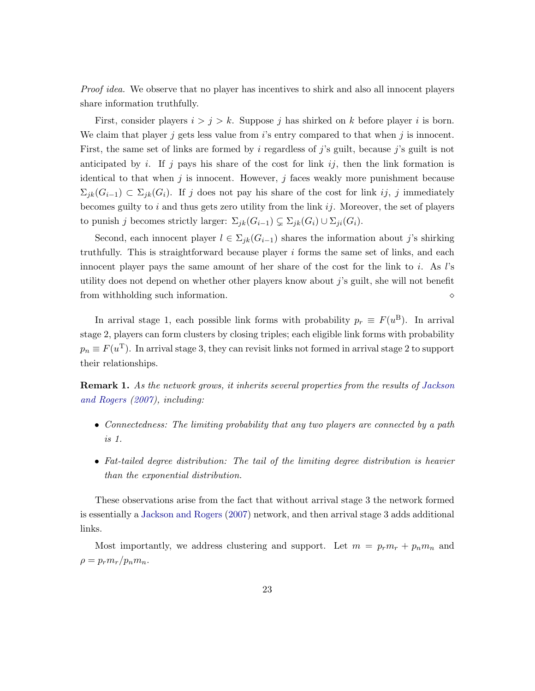Proof idea. We observe that no player has incentives to shirk and also all innocent players share information truthfully.

First, consider players  $i > j > k$ . Suppose j has shirked on k before player i is born. We claim that player j gets less value from  $i$ 's entry compared to that when j is innocent. First, the same set of links are formed by i regardless of j's guilt, because j's guilt is not anticipated by i. If j pays his share of the cost for link ij, then the link formation is identical to that when  $j$  is innocent. However,  $j$  faces weakly more punishment because  $\Sigma_{ik}(G_{i-1}) \subset \Sigma_{jk}(G_i)$ . If j does not pay his share of the cost for link ij, j immediately becomes guilty to  $i$  and thus gets zero utility from the link  $ij$ . Moreover, the set of players to punish j becomes strictly larger:  $\Sigma_{jk}(G_{i-1}) \subsetneq \Sigma_{jk}(G_i) \cup \Sigma_{ji}(G_i)$ .

Second, each innocent player  $l \in \Sigma_{jk}(G_{i-1})$  shares the information about j's shirking truthfully. This is straightforward because player  $i$  forms the same set of links, and each innocent player pays the same amount of her share of the cost for the link to i. As l's utility does not depend on whether other players know about  $j$ 's guilt, she will not benefit from withholding such information.

In arrival stage 1, each possible link forms with probability  $p_r \equiv F(u^B)$ . In arrival stage 2, players can form clusters by closing triples; each eligible link forms with probability  $p_n \equiv F(u^{\mathrm{T}})$ . In arrival stage 3, they can revisit links not formed in arrival stage 2 to support their relationships.

Remark 1. As the network grows, it inherits several properties from the results of [Jackson](#page-27-0) [and Rogers](#page-27-0) [\(2007\)](#page-27-0), including:

- Connectedness: The limiting probability that any two players are connected by a path is 1.
- Fat-tailed degree distribution: The tail of the limiting degree distribution is heavier than the exponential distribution.

These observations arise from the fact that without arrival stage 3 the network formed is essentially a [Jackson and Rogers](#page-27-0) [\(2007\)](#page-27-0) network, and then arrival stage 3 adds additional links.

<span id="page-22-0"></span>Most importantly, we address clustering and support. Let  $m = p_r m_r + p_n m_n$  and  $\rho = p_r m_r / p_n m_n.$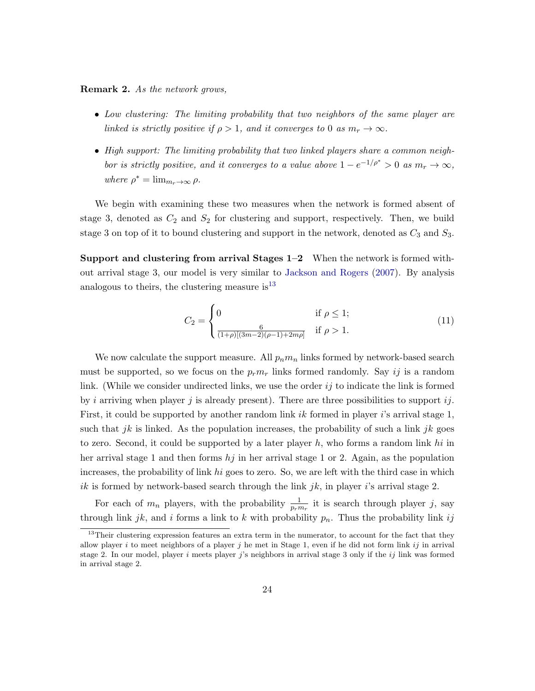Remark 2. As the network grows,

- Low clustering: The limiting probability that two neighbors of the same player are linked is strictly positive if  $\rho > 1$ , and it converges to 0 as  $m_r \to \infty$ .
- High support: The limiting probability that two linked players share a common neighbor is strictly positive, and it converges to a value above  $1 - e^{-1/\rho^*} > 0$  as  $m_r \to \infty$ , where  $\rho^* = \lim_{m_r \to \infty} \rho$ .

We begin with examining these two measures when the network is formed absent of stage 3, denoted as  $C_2$  and  $S_2$  for clustering and support, respectively. Then, we build stage 3 on top of it to bound clustering and support in the network, denoted as  $C_3$  and  $S_3$ .

Support and clustering from arrival Stages 1–2 When the network is formed without arrival stage 3, our model is very similar to [Jackson and Rogers](#page-27-0) [\(2007\)](#page-27-0). By analysis analogous to theirs, the clustering measure  $is<sup>13</sup>$  $is<sup>13</sup>$  $is<sup>13</sup>$ 

$$
C_2 = \begin{cases} 0 & \text{if } \rho \le 1; \\ \frac{6}{(1+\rho)[(3m-2)(\rho-1)+2m\rho]} & \text{if } \rho > 1. \end{cases}
$$
 (11)

We now calculate the support measure. All  $p_n m_n$  links formed by network-based search must be supported, so we focus on the  $p_r m_r$  links formed randomly. Say ij is a random link. (While we consider undirected links, we use the order  $i\dot{j}$  to indicate the link is formed by i arriving when player j is already present). There are three possibilities to support ij. First, it could be supported by another random link ik formed in player i's arrival stage 1, such that jk is linked. As the population increases, the probability of such a link jk goes to zero. Second, it could be supported by a later player  $h$ , who forms a random link hi in her arrival stage 1 and then forms  $hj$  in her arrival stage 1 or 2. Again, as the population increases, the probability of link hi goes to zero. So, we are left with the third case in which ik is formed by network-based search through the link  $jk$ , in player i's arrival stage 2.

For each of  $m_n$  players, with the probability  $\frac{1}{p_r m_r}$  it is search through player j, say through link jk, and i forms a link to k with probability  $p_n$ . Thus the probability link ij

<sup>&</sup>lt;sup>13</sup>Their clustering expression features an extra term in the numerator, to account for the fact that they allow player i to meet neighbors of a player j he met in Stage 1, even if he did not form link ij in arrival stage 2. In our model, player i meets player j's neighbors in arrival stage 3 only if the  $ij$  link was formed in arrival stage 2.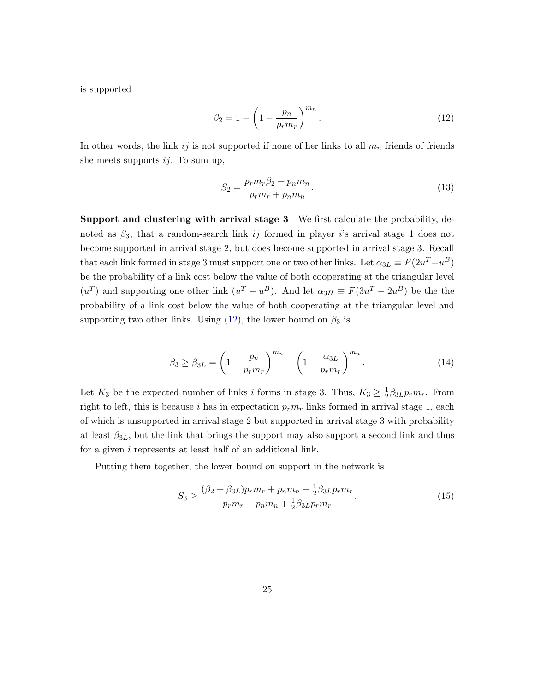is supported

<span id="page-24-0"></span>
$$
\beta_2 = 1 - \left(1 - \frac{p_n}{p_r m_r}\right)^{m_n}.
$$
\n(12)

In other words, the link ij is not supported if none of her links to all  $m_n$  friends of friends she meets supports  $ij$ . To sum up,

$$
S_2 = \frac{p_r m_r \beta_2 + p_n m_n}{p_r m_r + p_n m_n}.
$$
\n(13)

Support and clustering with arrival stage 3 We first calculate the probability, denoted as  $\beta_3$ , that a random-search link ij formed in player is arrival stage 1 does not become supported in arrival stage 2, but does become supported in arrival stage 3. Recall that each link formed in stage 3 must support one or two other links. Let  $\alpha_{3L} \equiv F(2u^T - u^B)$ be the probability of a link cost below the value of both cooperating at the triangular level  $(u^T)$  and supporting one other link  $(u^T - u^B)$ . And let  $\alpha_{3H} \equiv F(3u^T - 2u^B)$  be the the probability of a link cost below the value of both cooperating at the triangular level and supporting two other links. Using  $(12)$ , the lower bound on  $\beta_3$  is

$$
\beta_3 \ge \beta_{3L} = \left(1 - \frac{p_n}{p_r m_r}\right)^{m_n} - \left(1 - \frac{\alpha_{3L}}{p_r m_r}\right)^{m_n}.\tag{14}
$$

Let  $K_3$  be the expected number of links i forms in stage 3. Thus,  $K_3 \geq \frac{1}{2}$  $\frac{1}{2}\beta_{3L}p_r m_r$ . From right to left, this is because i has in expectation  $p_r m_r$  links formed in arrival stage 1, each of which is unsupported in arrival stage 2 but supported in arrival stage 3 with probability at least  $\beta_{3L}$ , but the link that brings the support may also support a second link and thus for a given  $i$  represents at least half of an additional link.

Putting them together, the lower bound on support in the network is

$$
S_3 \ge \frac{(\beta_2 + \beta_{3L})p_r m_r + p_n m_n + \frac{1}{2}\beta_{3L}p_r m_r}{p_r m_r + p_n m_n + \frac{1}{2}\beta_{3L}p_r m_r}.
$$
\n(15)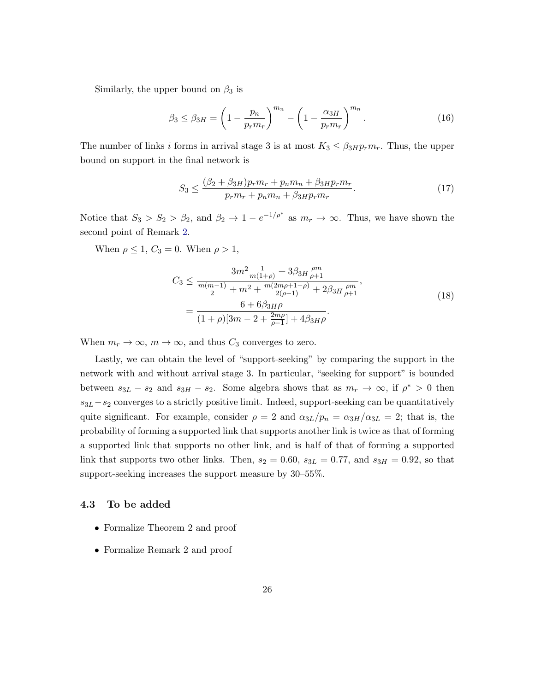Similarly, the upper bound on  $\beta_3$  is

$$
\beta_3 \le \beta_{3H} = \left(1 - \frac{p_n}{p_r m_r}\right)^{m_n} - \left(1 - \frac{\alpha_{3H}}{p_r m_r}\right)^{m_n}.\tag{16}
$$

The number of links i forms in arrival stage 3 is at most  $K_3 \leq \beta_{3HP} m_r$ . Thus, the upper bound on support in the final network is

$$
S_3 \le \frac{(\beta_2 + \beta_{3H})p_r m_r + p_n m_n + \beta_{3H} p_r m_r}{p_r m_r + p_n m_n + \beta_{3H} p_r m_r}.
$$
\n(17)

Notice that  $S_3 > S_2 > \beta_2$ , and  $\beta_2 \to 1 - e^{-1/\rho^*}$  as  $m_r \to \infty$ . Thus, we have shown the second point of Remark [2.](#page-22-0)

When  $\rho \leq 1$ ,  $C_3 = 0$ . When  $\rho > 1$ ,

$$
C_3 \le \frac{3m^2 \frac{1}{m(1+\rho)} + 3\beta_{3H} \frac{\rho m}{\rho + 1}}{\frac{m(m-1)}{2} + m^2 + \frac{m(2m\rho + 1 - \rho)}{2(\rho - 1)} + 2\beta_{3H} \frac{\rho m}{\rho + 1}},
$$
  
= 
$$
\frac{6 + 6\beta_{3H}\rho}{(1+\rho)[3m - 2 + \frac{2m\rho}{\rho - 1}] + 4\beta_{3H}\rho}.
$$
 (18)

When  $m_r \to \infty$ ,  $m \to \infty$ , and thus  $C_3$  converges to zero.

Lastly, we can obtain the level of "support-seeking" by comparing the support in the network with and without arrival stage 3. In particular, "seeking for support" is bounded between  $s_{3L} - s_2$  and  $s_{3H} - s_2$ . Some algebra shows that as  $m_r \to \infty$ , if  $\rho^* > 0$  then  $s_{3L}-s_2$  converges to a strictly positive limit. Indeed, support-seeking can be quantitatively quite significant. For example, consider  $\rho = 2$  and  $\alpha_{3L}/p_n = \alpha_{3H}/\alpha_{3L} = 2$ ; that is, the probability of forming a supported link that supports another link is twice as that of forming a supported link that supports no other link, and is half of that of forming a supported link that supports two other links. Then,  $s_2 = 0.60$ ,  $s_{3L} = 0.77$ , and  $s_{3H} = 0.92$ , so that support-seeking increases the support measure by 30–55%.

## 4.3 To be added

- Formalize Theorem 2 and proof
- Formalize Remark 2 and proof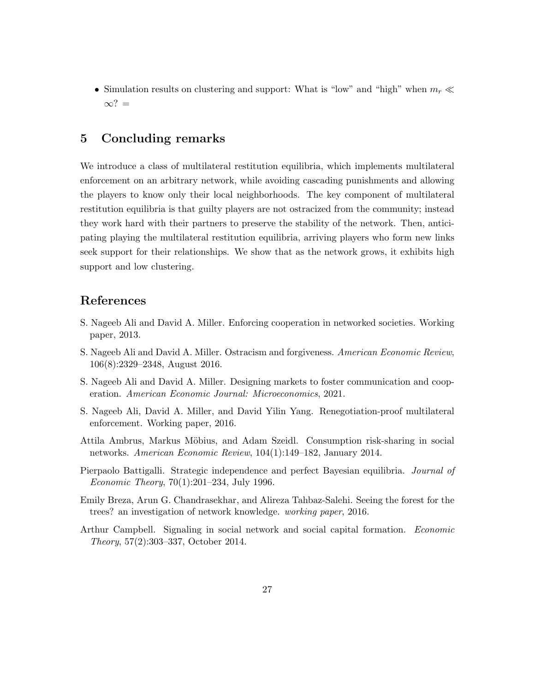• Simulation results on clustering and support: What is "low" and "high" when  $m_r \ll$  $\infty$ ? =

# 5 Concluding remarks

We introduce a class of multilateral restitution equilibria, which implements multilateral enforcement on an arbitrary network, while avoiding cascading punishments and allowing the players to know only their local neighborhoods. The key component of multilateral restitution equilibria is that guilty players are not ostracized from the community; instead they work hard with their partners to preserve the stability of the network. Then, anticipating playing the multilateral restitution equilibria, arriving players who form new links seek support for their relationships. We show that as the network grows, it exhibits high support and low clustering.

# References

- <span id="page-26-3"></span>S. Nageeb Ali and David A. Miller. Enforcing cooperation in networked societies. Working paper, 2013.
- <span id="page-26-1"></span>S. Nageeb Ali and David A. Miller. Ostracism and forgiveness. American Economic Review, 106(8):2329–2348, August 2016.
- <span id="page-26-4"></span>S. Nageeb Ali and David A. Miller. Designing markets to foster communication and cooperation. American Economic Journal: Microeconomics, 2021.
- <span id="page-26-6"></span>S. Nageeb Ali, David A. Miller, and David Yilin Yang. Renegotiation-proof multilateral enforcement. Working paper, 2016.
- <span id="page-26-2"></span>Attila Ambrus, Markus Möbius, and Adam Szeidl. Consumption risk-sharing in social networks. American Economic Review, 104(1):149–182, January 2014.
- <span id="page-26-7"></span>Pierpaolo Battigalli. Strategic independence and perfect Bayesian equilibria. Journal of Economic Theory, 70(1):201–234, July 1996.
- <span id="page-26-0"></span>Emily Breza, Arun G. Chandrasekhar, and Alireza Tahbaz-Salehi. Seeing the forest for the trees? an investigation of network knowledge. working paper, 2016.
- <span id="page-26-5"></span>Arthur Campbell. Signaling in social network and social capital formation. Economic Theory, 57(2):303–337, October 2014.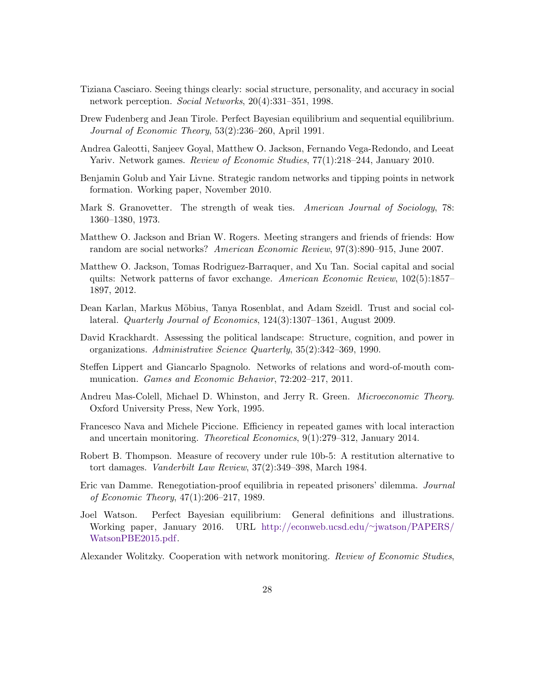- <span id="page-27-3"></span>Tiziana Casciaro. Seeing things clearly: social structure, personality, and accuracy in social network perception. Social Networks, 20(4):331-351, 1998.
- <span id="page-27-15"></span>Drew Fudenberg and Jean Tirole. Perfect Bayesian equilibrium and sequential equilibrium. Journal of Economic Theory, 53(2):236–260, April 1991.
- <span id="page-27-8"></span>Andrea Galeotti, Sanjeev Goyal, Matthew O. Jackson, Fernando Vega-Redondo, and Leeat Yariv. Network games. Review of Economic Studies, 77(1):218–244, January 2010.
- <span id="page-27-11"></span>Benjamin Golub and Yair Livne. Strategic random networks and tipping points in network formation. Working paper, November 2010.
- <span id="page-27-12"></span>Mark S. Granovetter. The strength of weak ties. American Journal of Sociology, 78: 1360–1380, 1973.
- <span id="page-27-0"></span>Matthew O. Jackson and Brian W. Rogers. Meeting strangers and friends of friends: How random are social networks? American Economic Review, 97(3):890–915, June 2007.
- <span id="page-27-1"></span>Matthew O. Jackson, Tomas Rodriguez-Barraquer, and Xu Tan. Social capital and social quilts: Network patterns of favor exchange. American Economic Review, 102(5):1857– 1897, 2012.
- <span id="page-27-5"></span>Dean Karlan, Markus Möbius, Tanya Rosenblat, and Adam Szeidl. Trust and social collateral. Quarterly Journal of Economics, 124(3):1307–1361, August 2009.
- <span id="page-27-2"></span>David Krackhardt. Assessing the political landscape: Structure, cognition, and power in organizations. Administrative Science Quarterly, 35(2):342–369, 1990.
- <span id="page-27-7"></span>Steffen Lippert and Giancarlo Spagnolo. Networks of relations and word-of-mouth communication. Games and Economic Behavior, 72:202–217, 2011.
- <span id="page-27-14"></span>Andreu Mas-Colell, Michael D. Whinston, and Jerry R. Green. *Microeconomic Theory*. Oxford University Press, New York, 1995.
- <span id="page-27-9"></span>Francesco Nava and Michele Piccione. Efficiency in repeated games with local interaction and uncertain monitoring. Theoretical Economics, 9(1):279–312, January 2014.
- <span id="page-27-6"></span>Robert B. Thompson. Measure of recovery under rule 10b-5: A restitution alternative to tort damages. Vanderbilt Law Review, 37(2):349–398, March 1984.
- <span id="page-27-10"></span>Eric van Damme. Renegotiation-proof equilibria in repeated prisoners' dilemma. Journal of Economic Theory, 47(1):206–217, 1989.
- <span id="page-27-13"></span>Joel Watson. Perfect Bayesian equilibrium: General definitions and illustrations. Working paper, January 2016. URL [http://econweb.ucsd.edu/](http://econweb.ucsd.edu/~jwatson/PAPERS/WatsonPBE2015.pdf)∼jwatson/PAPERS/ [WatsonPBE2015.pdf.](http://econweb.ucsd.edu/~jwatson/PAPERS/WatsonPBE2015.pdf)
- <span id="page-27-4"></span>Alexander Wolitzky. Cooperation with network monitoring. Review of Economic Studies,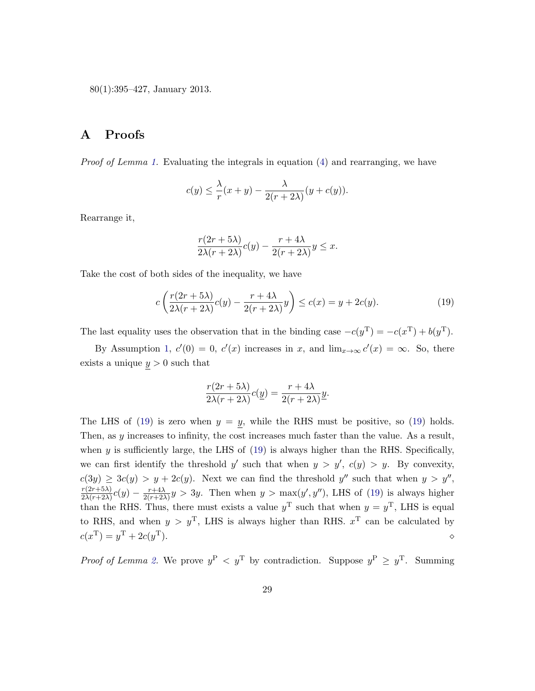80(1):395–427, January 2013.

# <span id="page-28-0"></span>A Proofs

Proof of Lemma [1.](#page-12-3) Evaluating the integrals in equation [\(4\)](#page-12-1) and rearranging, we have

$$
c(y) \le \frac{\lambda}{r}(x+y) - \frac{\lambda}{2(r+2\lambda)}(y+c(y)).
$$

Rearrange it,

<span id="page-28-1"></span>
$$
\frac{r(2r+5\lambda)}{2\lambda(r+2\lambda)}c(y) - \frac{r+4\lambda}{2(r+2\lambda)}y \leq x.
$$

Take the cost of both sides of the inequality, we have

$$
c\left(\frac{r(2r+5\lambda)}{2\lambda(r+2\lambda)}c(y) - \frac{r+4\lambda}{2(r+2\lambda)}y\right) \le c(x) = y + 2c(y). \tag{19}
$$

The last equality uses the observation that in the binding case  $-c(y^T) = -c(x^T) + b(y^T)$ .

By Assumption [1,](#page-9-0)  $c'(0) = 0$ ,  $c'(x)$  increases in x, and  $\lim_{x\to\infty} c'(x) = \infty$ . So, there exists a unique  $y > 0$  such that

$$
\frac{r(2r+5\lambda)}{2\lambda(r+2\lambda)}c(\underline{y}) = \frac{r+4\lambda}{2(r+2\lambda)}\underline{y}.
$$

The LHS of [\(19\)](#page-28-1) is zero when  $y = y$ , while the RHS must be positive, so (19) holds. Then, as y increases to infinity, the cost increases much faster than the value. As a result, when  $y$  is sufficiently large, the LHS of  $(19)$  is always higher than the RHS. Specifically, we can first identify the threshold y' such that when  $y > y'$ ,  $c(y) > y$ . By convexity,  $c(3y) \ge 3c(y) > y + 2c(y)$ . Next we can find the threshold y'' such that when  $y > y''$ ,  $r(2r+5\lambda)$  $\frac{r(2r+5\lambda)}{2\lambda(r+2\lambda)}c(y) - \frac{r+4\lambda}{2(r+2\lambda)}$  $\frac{r+4\lambda}{2(r+2\lambda)}y > 3y$ . Then when  $y > \max(y', y'')$ , LHS of [\(19\)](#page-28-1) is always higher than the RHS. Thus, there must exists a value  $y^T$  such that when  $y = y^T$ , LHS is equal to RHS, and when  $y > y^T$ , LHS is always higher than RHS.  $x^T$  can be calculated by  $c(x^{\mathrm{T}}) = y^{\mathrm{T}} + 2c(y)$ T).  $\qquad \qquad \diamond$ 

*Proof of Lemma [2.](#page-17-0)* We prove  $y^P \leq y^T$  by contradiction. Suppose  $y^P \geq y^T$ . Summing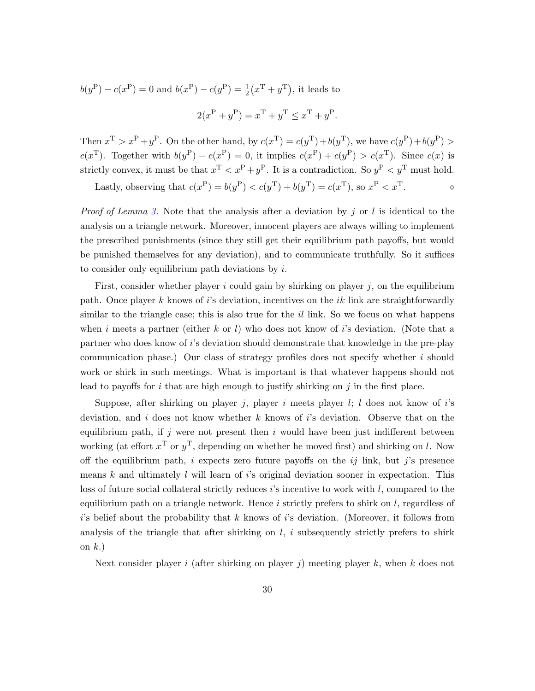$$
b(y^{P}) - c(x^{P}) = 0
$$
 and  $b(x^{P}) - c(y^{P}) = \frac{1}{2}(x^{T} + y^{T})$ , it leads to

$$
2(x^{P} + y^{P}) = x^{T} + y^{T} \leq x^{T} + y^{P}.
$$

Then  $x^T > x^P + y^P$ . On the other hand, by  $c(x^T) = c(y^T) + b(y^T)$ , we have  $c(y^P) + b(y^P)$  $c(x^{\text{T}})$ . Together with  $b(y^{\text{P}}) - c(x^{\text{P}}) = 0$ , it implies  $c(x^{\text{P}}) + c(y^{\text{P}}) > c(x^{\text{T}})$ . Since  $c(x)$  is strictly convex, it must be that  $x^T < x^P + y^P$ . It is a contradiction. So  $y^P < y^T$  must hold.

Lastly, observing that  $c(x^P) = b(y^P) < c(y^T) + b(y^T) = c(x^T)$ , so  $x^P < x^T$ .

*Proof of Lemma [3.](#page-17-1)* Note that the analysis after a deviation by j or l is identical to the analysis on a triangle network. Moreover, innocent players are always willing to implement the prescribed punishments (since they still get their equilibrium path payoffs, but would be punished themselves for any deviation), and to communicate truthfully. So it suffices to consider only equilibrium path deviations by  $i$ .

First, consider whether player i could gain by shirking on player  $j$ , on the equilibrium path. Once player k knows of i's deviation, incentives on the ik link are straightforwardly similar to the triangle case; this is also true for the  $il$  link. So we focus on what happens when i meets a partner (either k or l) who does not know of i's deviation. (Note that a partner who does know of i's deviation should demonstrate that knowledge in the pre-play communication phase.) Our class of strategy profiles does not specify whether  $i$  should work or shirk in such meetings. What is important is that whatever happens should not lead to payoffs for i that are high enough to justify shirking on j in the first place.

Suppose, after shirking on player j, player i meets player  $l$ ;  $l$  does not know of i's deviation, and i does not know whether  $k$  knows of i's deviation. Observe that on the equilibrium path, if j were not present then i would have been just indifferent between working (at effort  $x^T$  or  $y^T$ , depending on whether he moved first) and shirking on l. Now off the equilibrium path, i expects zero future payoffs on the  $ij$  link, but j's presence means  $k$  and ultimately  $l$  will learn of is original deviation sooner in expectation. This loss of future social collateral strictly reduces i's incentive to work with l, compared to the equilibrium path on a triangle network. Hence  $i$  strictly prefers to shirk on  $l$ , regardless of  $i$ 's belief about the probability that k knows of  $i$ 's deviation. (Moreover, it follows from analysis of the triangle that after shirking on  $l, i$  subsequently strictly prefers to shirk on  $k$ .)

Next consider player i (after shirking on player j) meeting player k, when k does not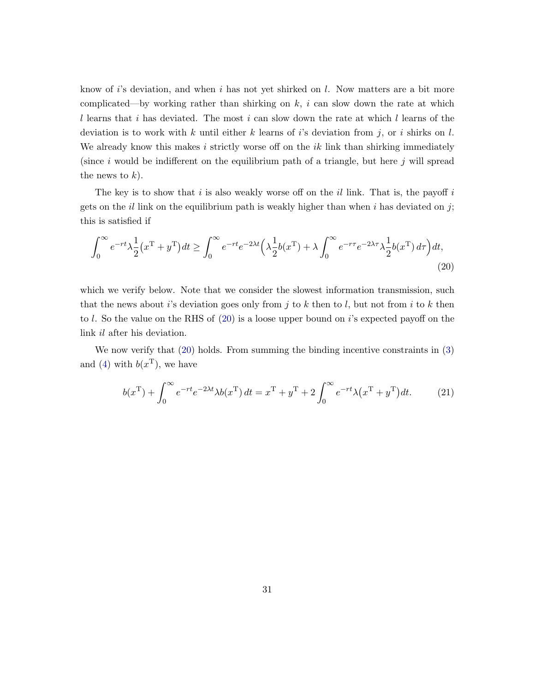know of i's deviation, and when i has not yet shirked on  $l$ . Now matters are a bit more complicated—by working rather than shirking on  $k$ , i can slow down the rate at which l learns that i has deviated. The most i can slow down the rate at which l learns of the deviation is to work with k until either k learns of is deviation from j, or i shirks on l. We already know this makes  $i$  strictly worse off on the  $ik$  link than shirking immediately (since i would be indifferent on the equilibrium path of a triangle, but here j will spread the news to  $k$ ).

The key is to show that i is also weakly worse off on the il link. That is, the payoff i gets on the il link on the equilibrium path is weakly higher than when i has deviated on j; this is satisfied if

$$
\int_0^\infty e^{-rt} \lambda \frac{1}{2} (x^{\mathsf{T}} + y^{\mathsf{T}}) dt \ge \int_0^\infty e^{-rt} e^{-2\lambda t} \left( \lambda \frac{1}{2} b(x^{\mathsf{T}}) + \lambda \int_0^\infty e^{-r\tau} e^{-2\lambda \tau} \lambda \frac{1}{2} b(x^{\mathsf{T}}) d\tau \right) dt,\tag{20}
$$

which we verify below. Note that we consider the slowest information transmission, such that the news about i's deviation goes only from j to k then to l, but not from i to k then to l. So the value on the RHS of [\(20\)](#page-30-0) is a loose upper bound on i's expected payoff on the link il after his deviation.

We now verify that  $(20)$  holds. From summing the binding incentive constraints in  $(3)$ and [\(4\)](#page-12-1) with  $b(x^{\mathrm{T}})$ , we have

<span id="page-30-1"></span><span id="page-30-0"></span>
$$
b(xT) + \int_0^\infty e^{-rt}e^{-2\lambda t} \lambda b(xT) dt = xT + yT + 2 \int_0^\infty e^{-rt} \lambda (xT + yT) dt.
$$
 (21)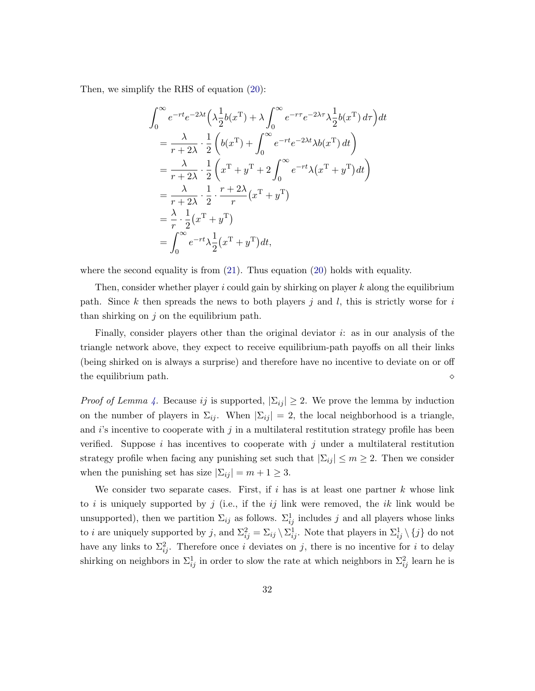Then, we simplify the RHS of equation [\(20\)](#page-30-0):

$$
\int_0^\infty e^{-rt}e^{-2\lambda t} \left(\lambda \frac{1}{2}b(x^{\mathrm{T}}) + \lambda \int_0^\infty e^{-r\tau}e^{-2\lambda \tau} \lambda \frac{1}{2}b(x^{\mathrm{T}}) d\tau\right) dt
$$
  
\n
$$
= \frac{\lambda}{r+2\lambda} \cdot \frac{1}{2} \left(b(x^{\mathrm{T}}) + \int_0^\infty e^{-rt}e^{-2\lambda t} \lambda b(x^{\mathrm{T}}) dt\right)
$$
  
\n
$$
= \frac{\lambda}{r+2\lambda} \cdot \frac{1}{2} \left(x^{\mathrm{T}} + y^{\mathrm{T}} + 2 \int_0^\infty e^{-rt} \lambda (x^{\mathrm{T}} + y^{\mathrm{T}}) dt\right)
$$
  
\n
$$
= \frac{\lambda}{r+2\lambda} \cdot \frac{1}{2} \cdot \frac{r+2\lambda}{r} (x^{\mathrm{T}} + y^{\mathrm{T}})
$$
  
\n
$$
= \frac{\lambda}{r} \cdot \frac{1}{2} (x^{\mathrm{T}} + y^{\mathrm{T}})
$$
  
\n
$$
= \int_0^\infty e^{-rt} \lambda \frac{1}{2} (x^{\mathrm{T}} + y^{\mathrm{T}}) dt,
$$

where the second equality is from  $(21)$ . Thus equation  $(20)$  holds with equality.

Then, consider whether player  $i$  could gain by shirking on player  $k$  along the equilibrium path. Since k then spreads the news to both players j and l, this is strictly worse for i than shirking on  $j$  on the equilibrium path.

Finally, consider players other than the original deviator  $i$ : as in our analysis of the triangle network above, they expect to receive equilibrium-path payoffs on all their links (being shirked on is always a surprise) and therefore have no incentive to deviate on or off the equilibrium path.

*Proof of Lemma [4.](#page-18-0)* Because ij is supported,  $|\Sigma_{ij}| \geq 2$ . We prove the lemma by induction on the number of players in  $\Sigma_{ij}$ . When  $|\Sigma_{ij}| = 2$ , the local neighborhood is a triangle, and  $i$ 's incentive to cooperate with  $j$  in a multilateral restitution strategy profile has been verified. Suppose i has incentives to cooperate with j under a multilateral restitution strategy profile when facing any punishing set such that  $|\Sigma_{ij}| \leq m \geq 2$ . Then we consider when the punishing set has size  $|\Sigma_{ij}| = m + 1 \geq 3$ .

We consider two separate cases. First, if  $i$  has is at least one partner k whose link to i is uniquely supported by j (i.e., if the ij link were removed, the ik link would be unsupported), then we partition  $\Sigma_{ij}$  as follows.  $\Sigma_{ij}^1$  includes j and all players whose links to *i* are uniquely supported by j, and  $\Sigma_{ij}^2 = \Sigma_{ij} \setminus \Sigma_{ij}^1$ . Note that players in  $\Sigma_{ij}^1 \setminus \{j\}$  do not have any links to  $\Sigma_{ij}^2$ . Therefore once i deviates on j, there is no incentive for i to delay shirking on neighbors in  $\Sigma_{ij}^1$  in order to slow the rate at which neighbors in  $\Sigma_{ij}^2$  learn he is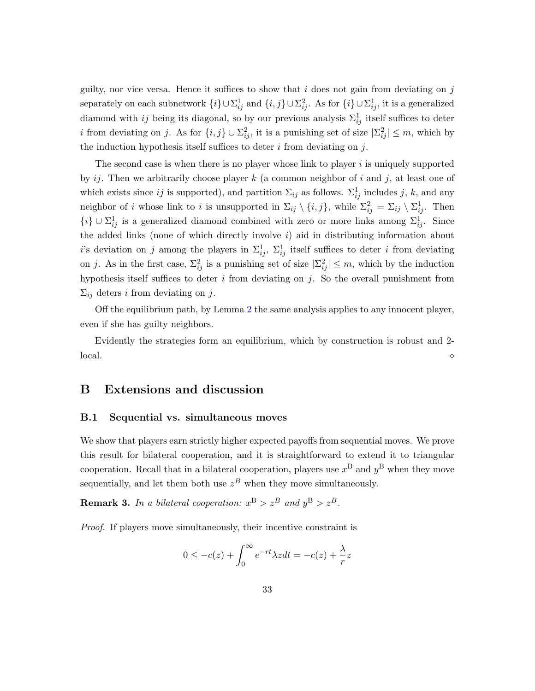guilty, nor vice versa. Hence it suffices to show that  $i$  does not gain from deviating on  $j$ separately on each subnetwork  $\{i\} \cup \sum_{ij}^1$  and  $\{i, j\} \cup \sum_{ij}^2$ . As for  $\{i\} \cup \sum_{ij}^1$ , it is a generalized diamond with *ij* being its diagonal, so by our previous analysis  $\Sigma_{ij}^1$  itself suffices to deter *i* from deviating on *j*. As for  $\{i, j\} \cup \Sigma_{ij}^2$ , it is a punishing set of size  $|\Sigma_{ij}^2| \leq m$ , which by the induction hypothesis itself suffices to deter  $i$  from deviating on  $j$ .

The second case is when there is no player whose link to player  $i$  is uniquely supported by ij. Then we arbitrarily choose player  $k$  (a common neighbor of i and j, at least one of which exists since ij is supported), and partition  $\Sigma_{ij}$  as follows.  $\Sigma_{ij}^1$  includes j, k, and any neighbor of *i* whose link to *i* is unsupported in  $\Sigma_{ij} \setminus \{i, j\}$ , while  $\Sigma_{ij}^2 = \Sigma_{ij} \setminus \Sigma_{ij}^1$ . Then  $\{i\} ∪ Σ<sup>1</sup><sub>ij</sub>$  is a generalized diamond combined with zero or more links among  $Σ<sup>1</sup><sub>ij</sub>$ . Since the added links (none of which directly involve  $i$ ) aid in distributing information about i's deviation on j among the players in  $\Sigma_{ij}^1$ ,  $\Sigma_{ij}^1$  itself suffices to deter i from deviating on j. As in the first case,  $\Sigma_{ij}^2$  is a punishing set of size  $|\Sigma_{ij}^2| \leq m$ , which by the induction hypothesis itself suffices to deter  $i$  from deviating on  $j$ . So the overall punishment from  $\Sigma_{ij}$  deters i from deviating on j.

Off the equilibrium path, by Lemma [2](#page-17-0) the same analysis applies to any innocent player, even if she has guilty neighbors.

Evidently the strategies form an equilibrium, which by construction is robust and 2-  $\alpha$ local.

## B Extensions and discussion

## B.1 Sequential vs. simultaneous moves

We show that players earn strictly higher expected payoffs from sequential moves. We prove this result for bilateral cooperation, and it is straightforward to extend it to triangular cooperation. Recall that in a bilateral cooperation, players use  $x^{\text{B}}$  and  $y^{\text{B}}$  when they move sequentially, and let them both use  $z<sup>B</sup>$  when they move simultaneously.

<span id="page-32-0"></span>**Remark 3.** In a bilateral cooperation:  $x^B > z^B$  and  $y^B > z^B$ .

Proof. If players move simultaneously, their incentive constraint is

$$
0 \le -c(z) + \int_0^\infty e^{-rt} \lambda z dt = -c(z) + \frac{\lambda}{r} z
$$